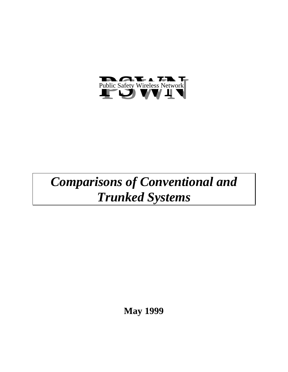

# *Comparisons of Conventional and Trunked Systems*

**May 1999**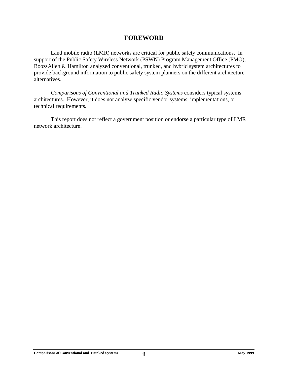## **FOREWORD**

<span id="page-1-0"></span>Land mobile radio (LMR) networks are critical for public safety communications. In support of the Public Safety Wireless Network (PSWN) Program Management Office (PMO), Booz•Allen & Hamilton analyzed conventional, trunked, and hybrid system architectures to provide background information to public safety system planners on the different architecture alternatives.

*Comparisons of Conventional and Trunked Radio Systems* considers typical systems architectures. However, it does not analyze specific vendor systems, implementations, or technical requirements.

This report does not reflect a government position or endorse a particular type of LMR network architecture.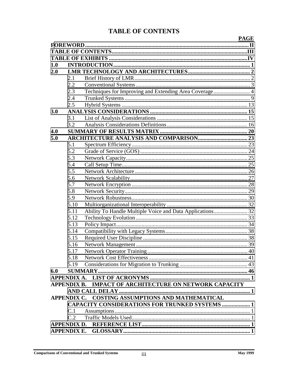## **TABLE OF CONTENTS**

|     |      |                                                           | <b>PAGE</b> |
|-----|------|-----------------------------------------------------------|-------------|
|     |      |                                                           |             |
|     |      |                                                           |             |
|     |      |                                                           |             |
| 1.0 |      |                                                           |             |
| 2.0 |      |                                                           |             |
|     | 2.1  |                                                           |             |
|     | 2.2  |                                                           |             |
|     | 2.3  | Techniques for Improving and Extending Area Coverage 4    |             |
|     | 2.4  |                                                           |             |
|     | 2.5  |                                                           |             |
| 3.0 |      |                                                           |             |
|     | 3.1  |                                                           |             |
|     | 3.2  |                                                           |             |
| 4.0 |      |                                                           |             |
| 5.0 |      |                                                           |             |
|     | 5.1  |                                                           |             |
|     | 5.2  |                                                           |             |
|     | 5.3  |                                                           |             |
|     | 5.4  |                                                           |             |
|     | 5.5  |                                                           |             |
|     | 5.6  |                                                           |             |
|     | 5.7  |                                                           |             |
|     | 5.8  |                                                           |             |
|     | 5.9  |                                                           |             |
|     | 5.10 |                                                           |             |
|     | 5.11 | Ability To Handle Multiple Voice and Data Applications 32 |             |
|     | 5.12 |                                                           |             |
|     | 5.13 |                                                           |             |
|     | 5.14 |                                                           |             |
|     | 5.15 |                                                           |             |
|     | 5.16 |                                                           |             |
|     | 5.17 |                                                           |             |
|     | 5.18 |                                                           |             |
|     | 5.19 |                                                           |             |
| 6.0 |      |                                                           |             |
|     |      |                                                           |             |
|     |      | APPENDIX B. IMPACT OF ARCHITECTURE ON NETWORK CAPACITY    |             |
|     |      |                                                           |             |
|     |      | APPENDIX C. COSTING ASSUMPTIONS AND MATHEMATICAL          |             |
|     |      | <b>CAPACITY CONSIDERATIONS FOR TRUNKED SYSTEMS  1</b>     |             |
|     | C.1  |                                                           |             |
|     | C.2  |                                                           |             |
|     |      |                                                           |             |
|     |      |                                                           |             |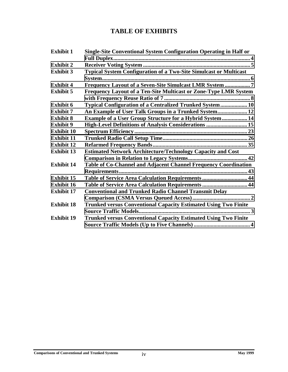## **TABLE OF EXHIBITS**

<span id="page-3-0"></span>

| <b>Exhibit 1</b>  | <b>Single-Site Conventional System Configuration Operating in Half or</b> |  |
|-------------------|---------------------------------------------------------------------------|--|
|                   |                                                                           |  |
| <b>Exhibit 2</b>  |                                                                           |  |
| <b>Exhibit 3</b>  | <b>Typical System Configuration of a Two-Site Simulcast or Multicast</b>  |  |
|                   |                                                                           |  |
| <b>Exhibit 4</b>  | Frequency Layout of a Seven-Site Simulcast LMR System 7                   |  |
| <b>Exhibit 5</b>  | Frequency Layout of a Ten-Site Multicast or Zone-Type LMR System          |  |
|                   |                                                                           |  |
| <b>Exhibit 6</b>  | Typical Configuration of a Centralized Trunked System 10                  |  |
| <b>Exhibit 7</b>  | An Example of User Talk Groups in a Trunked System 12                     |  |
| <b>Exhibit 8</b>  | <b>Example of a User Group Structure for a Hybrid System 14</b>           |  |
| <b>Exhibit 9</b>  | High-Level Definitions of Analysis Considerations  15                     |  |
| <b>Exhibit 10</b> |                                                                           |  |
| <b>Exhibit 11</b> |                                                                           |  |
| <b>Exhibit 12</b> |                                                                           |  |
| <b>Exhibit 13</b> | <b>Estimated Network Architecture/Technology Capacity and Cost</b>        |  |
|                   |                                                                           |  |
| <b>Exhibit 14</b> | Table of Co-Channel and Adjacent Channel Frequency Coordination           |  |
|                   |                                                                           |  |
| <b>Exhibit 15</b> | Table of Service Area Calculation Requirements  44                        |  |
| <b>Exhibit 16</b> | Table of Service Area Calculation Requirements  44                        |  |
| <b>Exhibit 17</b> | <b>Conventional and Trunked Radio Channel Transmit Delay</b>              |  |
|                   |                                                                           |  |
| <b>Exhibit 18</b> | <b>Trunked versus Conventional Capacity Estimated Using Two Finite</b>    |  |
|                   |                                                                           |  |
| <b>Exhibit 19</b> | <b>Trunked versus Conventional Capacity Estimated Using Two Finite</b>    |  |
|                   |                                                                           |  |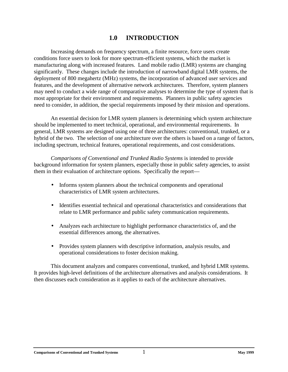## **1.0 INTRODUCTION**

<span id="page-4-0"></span>Increasing demands on frequency spectrum, a finite resource, force users create conditions force users to look for more spectrum-efficient systems, which the market is manufacturing along with increased features. Land mobile radio (LMR) systems are changing significantly. These changes include the introduction of narrowband digital LMR systems, the deployment of 800 megahertz (MHz) systems, the incorporation of advanced user services and features, and the development of alternative network architectures. Therefore, system planners may need to conduct a wide range of comparative analyses to determine the type of system that is most appropriate for their environment and requirements. Planners in public safety agencies need to consider, in addition, the special requirements imposed by their mission and operations.

An essential decision for LMR system planners is determining which system architecture should be implemented to meet technical, operational, and environmental requirements. In general, LMR systems are designed using one of three architectures: conventional, trunked, or a hybrid of the two. The selection of one architecture over the others is based on a range of factors, including spectrum, technical features, operational requirements, and cost considerations.

*Comparisons of Conventional and Trunked Radio Systems* is intended to provide background information for system planners, especially those in public safety agencies, to assist them in their evaluation of architecture options. Specifically the report—

- Informs system planners about the technical components and operational characteristics of LMR system architectures.
- Identifies essential technical and operational characteristics and considerations that relate to LMR performance and public safety communication requirements.
- Analyzes each architecture to highlight performance characteristics of, and the essential differences among, the alternatives.
- Provides system planners with descriptive information, analysis results, and operational considerations to foster decision making.

This document analyzes and compares conventional, trunked, and hybrid LMR systems. It provides high-level definitions of the architecture alternatives and analysis considerations. It then discusses each consideration as it applies to each of the architecture alternatives.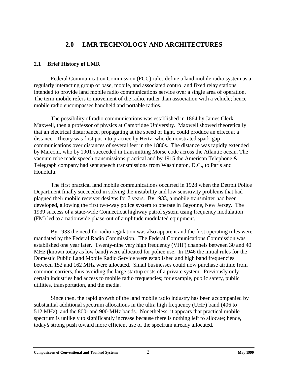# **2.0 LMR TECHNOLOGY AND ARCHITECTURES**

#### <span id="page-5-0"></span>**2.1 Brief History of LMR**

Federal Communication Commission (FCC) rules define a land mobile radio system as a regularly interacting group of base, mobile, and associated control and fixed relay stations intended to provide land mobile radio communications service over a single area of operation. The term mobile refers to movement of the radio, rather than association with a vehicle; hence mobile radio encompasses handheld and portable radios.

The possibility of radio communications was established in 1864 by James Clerk Maxwell, then a professor of physics at Cambridge University. Maxwell showed theoretically that an electrical disturbance, propagating at the speed of light, could produce an effect at a distance. Theory was first put into practice by Hertz, who demonstrated spark-gap communications over distances of several feet in the 1880s. The distance was rapidly extended by Marconi, who by 1901 succeeded in transmitting Morse code across the Atlantic ocean. The vacuum tube made speech transmissions practical and by 1915 the American Telephone & Telegraph company had sent speech transmissions from Washington, D.C., to Paris and Honolulu.

The first practical land mobile communications occurred in 1928 when the Detroit Police Department finally succeeded in solving the instability and low sensitivity problems that had plagued their mobile receiver designs for 7 years. By 1933, a mobile transmitter had been developed, allowing the first two-way police system to operate in Bayonne, New Jersey. The 1939 success of a state-wide Connecticut highway patrol system using frequency modulation (FM) led to a nationwide phase-out of amplitude modulated equipment.

By 1933 the need for radio regulation was also apparent and the first operating rules were mandated by the Federal Radio Commission. The Federal Communications Commission was established one year later. Twenty-nine very high frequency (VHF) channels between 30 and 40 MHz (known today as low band) were allocated for police use. In 1946 the initial rules for the Domestic Public Land Mobile Radio Service were established and high band frequencies between 152 and 162 MHz were allocated. Small businesses could now purchase airtime from common carriers, thus avoiding the large startup costs of a private system. Previously only certain industries had access to mobile radio frequencies; for example, public safety, public utilities, transportation, and the media.

Since then, the rapid growth of the land mobile radio industry has been accompanied by substantial additional spectrum allocations in the ultra high frequency (UHF) band (406 to 512 MHz), and the 800- and 900-MHz bands. Nonetheless, it appears that practical mobile spectrum is unlikely to significantly increase because there is nothing left to allocate; hence, today's strong push toward more efficient use of the spectrum already allocated.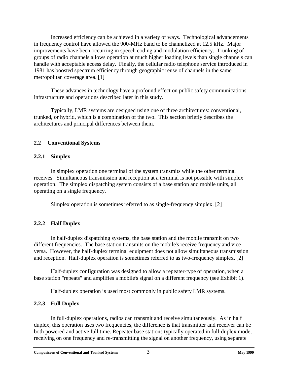<span id="page-6-0"></span>Increased efficiency can be achieved in a variety of ways. Technological advancements in frequency control have allowed the 900-MHz band to be channelized at 12.5 kHz. Major improvements have been occurring in speech coding and modulation efficiency. Trunking of groups of radio channels allows operation at much higher loading levels than single channels can handle with acceptable access delay. Finally, the cellular radio telephone service introduced in 1981 has boosted spectrum efficiency through geographic reuse of channels in the same metropolitan coverage area. [1]

These advances in technology have a profound effect on public safety communications infrastructure and operations described later in this study.

Typically, LMR systems are designed using one of three architectures: conventional, trunked, or hybrid, which is a combination of the two. This section briefly describes the architectures and principal differences between them.

#### **2.2 Conventional Systems**

#### **2.2.1 Simplex**

In simplex operation one terminal of the system transmits while the other terminal receives. Simultaneous transmission and reception at a terminal is not possible with simplex operation. The simplex dispatching system consists of a base station and mobile units, all operating on a single frequency.

Simplex operation is sometimes referred to as single-frequency simplex. [2]

#### **2.2.2 Half Duplex**

In half-duplex dispatching systems, the base station and the mobile transmit on two different frequencies. The base station transmits on the mobile's receive frequency and vice versa. However, the half-duplex terminal equipment does not allow simultaneous transmission and reception. Half-duplex operation is sometimes referred to as two-frequency simplex. [2]

Half-duplex configuration was designed to allow a repeater-type of operation, when a base station "repeats" and amplifies a mobile's signal on a different frequency (see Exhibit 1).

Half-duplex operation is used most commonly in public safety LMR systems.

#### **2.2.3 Full Duplex**

In full-duplex operations, radios can transmit and receive simultaneously. As in half duplex, this operation uses two frequencies, the difference is that transmitter and receiver can be both powered and active full time. Repeater base stations typically operated in full-duplex mode, receiving on one frequency and re-transmitting the signal on another frequency, using separate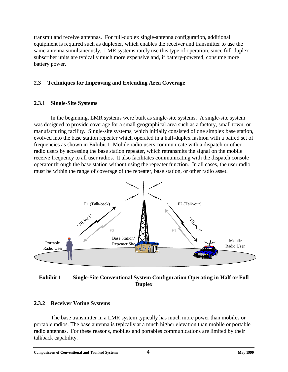<span id="page-7-0"></span>transmit and receive antennas. For full-duplex single-antenna configuration, additional equipment is required such as duplexer, which enables the receiver and transmitter to use the same antenna simultaneously. LMR systems rarely use this type of operation, since full-duplex subscriber units are typically much more expensive and, if battery-powered, consume more battery power.

#### **2.3 Techniques for Improving and Extending Area Coverage**

#### **2.3.1 Single-Site Systems**

In the beginning, LMR systems were built as single-site systems. A single-site system was designed to provide coverage for a small geographical area such as a factory, small town, or manufacturing facility. Single-site systems, which initially consisted of one simplex base station, evolved into the base station repeater which operated in a half-duplex fashion with a paired set of frequencies as shown in Exhibit 1. Mobile radio users communicate with a dispatch or other radio users by accessing the base station repeater, which retransmits the signal on the mobile receive frequency to all user radios. It also facilitates communicating with the dispatch console operator through the base station without using the repeater function. In all cases, the user radio must be within the range of coverage of the repeater, base station, or other radio asset.



#### **Exhibit 1 Single-Site Conventional System Configuration Operating in Half or Full Duplex**

#### **2.3.2 Receiver Voting Systems**

The base transmitter in a LMR system typically has much more power than mobiles or portable radios. The base antenna is typically at a much higher elevation than mobile or portable radio antennas. For these reasons, mobiles and portables communications are limited by their talkback capability.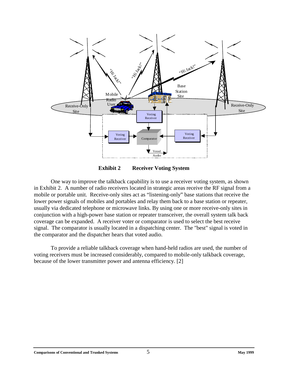<span id="page-8-0"></span>



One way to improve the talkback capability is to use a receiver voting system, as shown in Exhibit 2. A number of radio receivers located in strategic areas receive the RF signal from a mobile or portable unit. Receive-only sites act as "listening-only" base stations that receive the lower power signals of mobiles and portables and relay them back to a base station or repeater, usually via dedicated telephone or microwave links. By using one or more receive-only sites in conjunction with a high-power base station or repeater transceiver, the overall system talk back coverage can be expanded. A receiver voter or comparator is used to select the best receive signal. The comparator is usually located in a dispatching center. The "best" signal is voted in the comparator and the dispatcher hears that voted audio.

To provide a reliable talkback coverage when hand-held radios are used, the number of voting receivers must be increased considerably, compared to mobile-only talkback coverage, because of the lower transmitter power and antenna efficiency. [2]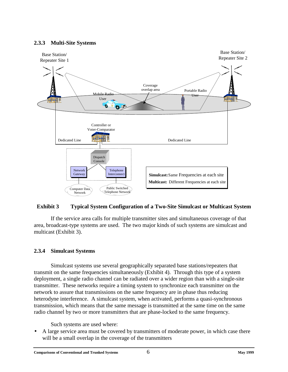#### <span id="page-9-0"></span>**2.3.3 Multi-Site Systems**



#### **Exhibit 3 Typical System Configuration of a Two-Site Simulcast or Multicast System**

If the service area calls for multiple transmitter sites and simultaneous coverage of that area, broadcast-type systems are used. The two major kinds of such systems are simulcast and multicast (Exhibit 3).

#### **2.3.4 Simulcast Systems**

Simulcast systems use several geographically separated base stations/repeaters that transmit on the same frequencies simultaneously (Exhibit 4). Through this type of a system deployment, a single radio channel can be radiated over a wider region than with a single-site transmitter. These networks require a timing system to synchronize each transmitter on the network to assure that transmissions on the same frequency are in phase thus reducing heterodyne interference. A simulcast system, when activated, performs a quasi-synchronous transmission, which means that the same message is transmitted at the same time on the same radio channel by two or more transmitters that are phase-locked to the same frequency.

Such systems are used where:

• A large service area must be covered by transmitters of moderate power, in which case there will be a small overlap in the coverage of the transmitters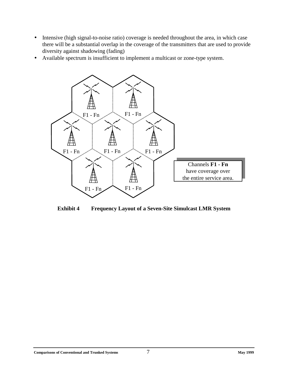- <span id="page-10-0"></span>• Intensive (high signal-to-noise ratio) coverage is needed throughout the area, in which case there will be a substantial overlap in the coverage of the transmitters that are used to provide diversity against shadowing (fading)
- Available spectrum is insufficient to implement a multicast or zone-type system.



**Exhibit 4 Frequency Layout of a Seven-Site Simulcast LMR System**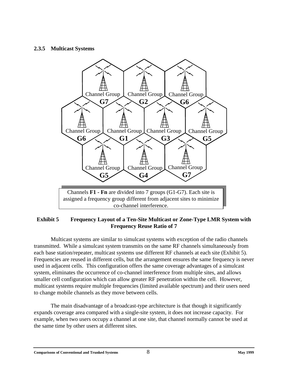#### <span id="page-11-0"></span>**2.3.5 Multicast Systems**



#### **Exhibit 5 Frequency Layout of a Ten-Site Multicast or Zone-Type LMR System with Frequency Reuse Ratio of 7**

Multicast systems are similar to simulcast systems with exception of the radio channels transmitted. While a simulcast system transmits on the same RF channels simultaneously from each base station/repeater, multicast systems use different RF channels at each site (Exhibit 5). Frequencies are reused in different cells, but the arrangement ensures the same frequency is never used in adjacent cells. This configuration offers the same coverage advantages of a simulcast system, eliminates the occurrence of co-channel interference from multiple sites, and allows smaller cell configuration which can allow greater RF penetration within the cell. However, multicast systems require multiple frequencies (limited available spectrum) and their users need to change mobile channels as they move between cells.

The main disadvantage of a broadcast-type architecture is that though it significantly expands coverage area compared with a single-site system, it does not increase capacity. For example, when two users occupy a channel at one site, that channel normally cannot be used at the same time by other users at different sites.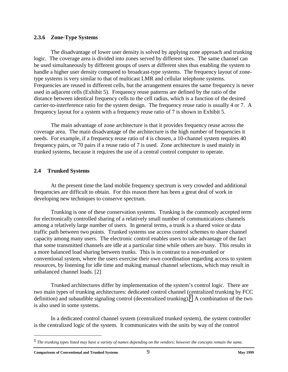#### <span id="page-12-0"></span>**2.3.6 Zone-Type Systems**

The disadvantage of lower user density is solved by applying zone approach and trunking logic. The coverage area is divided into zones served by different sites. The same channel can be used simultaneously by different groups of users at different sites thus enabling the system to handle a higher user density compared to broadcast-type systems. The frequency layout of zonetype systems is very similar to that of multicast LMR and cellular telephone systems. Frequencies are reused in different cells, but the arrangement ensures the same frequency is never used in adjacent cells (Exhibit 5). Frequency reuse patterns are defined by the ratio of the distance between identical frequency cells to the cell radius, which is a function of the desired carrier-to-interference ratio for the system design. The frequency reuse ratio is usually 4 or 7. A frequency layout for a system with a frequency reuse ratio of 7 is shown in Exhibit 5.

The main advantage of zone architecture is that it provides frequency reuse across the coverage area. The main disadvantage of the architecture is the high number of frequencies it needs. For example, if a frequency reuse ratio of 4 is chosen, a 10-channel system requires 40 frequency pairs, or 70 pairs if a reuse ratio of 7 is used. Zone architecture is used mainly in trunked systems, because it requires the use of a central control computer to operate.

#### **2.4 Trunked Systems**

At the present time the land mobile frequency spectrum is very crowded and additional frequencies are difficult to obtain. For this reason there has been a great deal of work in developing new techniques to conserve spectrum.

Trunking is one of these conservation systems. Trunking is the commonly accepted term for electronically controlled sharing of a relatively small number of communications channels among a relatively large number of users. In general terms, a trunk is a shared voice or data traffic path between two points. Trunked systems use access control schemes to share channel capacity among many users. The electronic control enables users to take advantage of the fact that some transmitted channels are idle at a particular time while others are busy. This results in a more balanced load sharing between trunks. This is in contrast to a non-trunked or conventional system, where the users exercise their own coordination regarding access to system resources, by listening for idle time and making manual channel selections, which may result in unbalanced channel loads. [2]

Trunked architectures differ by implementation of the system's control logic. There are two main types of trunking architectures: dedicated control channel (centralized trunking by FCC definition) and subaudible signaling control (decentralized trunking).*1* A combination of the two is also used in some systems.

In a dedicated control channel system (centralized trunked system), the system controller is the centralized logic of the system. It communicates with the units by way of the control

*The trunking types listed may have a variety of names depending on the vendors; however the concepts remain the same.*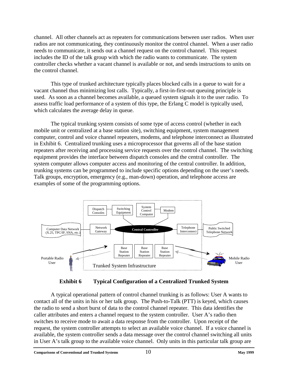<span id="page-13-0"></span>channel. All other channels act as repeaters for communications between user radios. When user radios are not communicating, they continuously monitor the control channel. When a user radio needs to communicate, it sends out a channel request on the control channel. This request includes the ID of the talk group with which the radio wants to communicate. The system controller checks whether a vacant channel is available or not, and sends instructions to units on the control channel.

This type of trunked architecture typically places blocked calls in a queue to wait for a vacant channel thus minimizing lost calls. Typically, a first-in-first-out queuing principle is used. As soon as a channel becomes available, a queued system signals it to the user radio. To assess traffic load performance of a system of this type, the Erlang C model is typically used, which calculates the average delay in queue.

The typical trunking system consists of some type of access control (whether in each mobile unit or centralized at a base station site), switching equipment, system management computer, control and voice channel repeaters, modems, and telephone interconnect as illustrated in Exhibit 6. Centralized trunking uses a microprocessor that governs all of the base station repeaters after receiving and processing service requests over the control channel. The switching equipment provides the interface between dispatch consoles and the central controller. The system computer allows computer access and monitoring of the central controller. In addition, trunking systems can be programmed to include specific options depending on the user's needs. Talk groups, encryption, emergency (e.g., man-down) operation, and telephone access are examples of some of the programming options.



#### **Exhibit 6 Typical Configuration of a Centralized Trunked System**

A typical operational pattern of control channel trunking is as follows: User A wants to contact all of the units in his or her talk group. The Push-to-Talk (PTT) is keyed, which causes the radio to send a short burst of data to the control channel repeater. This data identifies the caller attributes and enters a channel request to the system controller. User A's radio then switches to receive mode to await a data response from the controller. Upon receipt of the request, the system controller attempts to select an available voice channel. If a voice channel is available, the system controller sends a data message over the control channel switching all units in User A's talk group to the available voice channel. Only units in this particular talk group are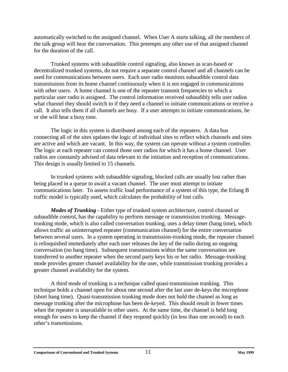automatically switched to the assigned channel. When User A starts talking, all the members of the talk group will hear the conversation. This preempts any other use of that assigned channel for the duration of the call.

Trunked systems with subaudible control signaling, also known as scan-based or decentralized trunked systems, do not require a separate control channel and all channels can be used for communications between users. Each user radio monitors subaudible control data transmissions from its home channel continuously when it is not engaged in communications with other users. A home channel is one of the repeater transmit frequencies to which a particular user radio is assigned. The control information received subaudibly tells user radios what channel they should switch to if they need a channel to initiate communications or receive a call. It also tells them if all channels are busy. If a user attempts to initiate communications, he or she will hear a busy tone.

The logic in this system is distributed among each of the repeaters. A data bus connecting all of the sites updates the logic of individual sites to reflect which channels and sites are active and which are vacant. In this way, the system can operate without a system controller. The logic at each repeater can control those user radios for which it has a home channel. User radios are constantly advised of data relevant to the initiation and reception of communications. This design is usually limited to 15 channels.

In trunked systems with subaudible signaling, blocked calls are usually lost rather than being placed in a queue to await a vacant channel. The user must attempt to initiate communications later. To assess traffic load performance of a system of this type, the Erlang B traffic model is typically used, which calculates the probability of lost calls.

*Modes of Trunking -* Either type of trunked system architecture, control channel or subaudible control, has the capability to perform message or transmission trunking. Messagetrunking mode, which is also called conversation trunking, uses a delay timer (hang time), which allows traffic an uninterrupted repeater (communication channel) for the entire conversation between several users. In a system operating in transmission-trunking mode, the repeater channel is relinquished immediately after each user releases the key of the radio during an ongoing conversation (no hang time). Subsequent transmissions within the same conversation are transferred to another repeater when the second party keys his or her radio. Message-trunking mode provides greater channel availability for the user, while transmission trunking provides a greater channel availability for the system.

A third mode of trunking is a technique called quasi-transmission trunking. This technique holds a channel open for about one second after the last user de-keys the microphone (short hang time). Quasi-transmission trunking mode does not hold the channel as long as message trunking after the microphone has been de-keyed. This should result in fewer times when the repeater is unavailable to other users. At the same time, the channel is held long enough for users to keep the channel if they respond quickly (in less than one second) to each other's transmissions.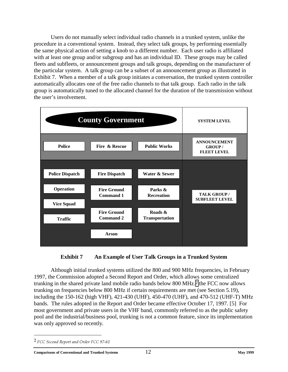<span id="page-15-0"></span>Users do not manually select individual radio channels in a trunked system, unlike the procedure in a conventional system. Instead, they select talk groups, by performing essentially the same physical action of setting a knob to a different number. Each user radio is affiliated with at least one group and/or subgroup and has an individual ID. These groups may be called fleets and subfleets, or announcement groups and talk groups, depending on the manufacturer of the particular system. A talk group can be a subset of an announcement group as illustrated in Exhibit 7. When a member of a talk group initiates a conversation, the trunked system controller automatically allocates one of the free radio channels to that talk group. Each radio in the talk group is automatically tuned to the allocated channel for the duration of the transmission without the user's involvement.





Although initial trunked systems utilized the 800 and 900 MHz frequencies, in February 1997, the Commission adopted a Second Report and Order, which allows some centralized trunking in the shared private land mobile radio bands below 800 MHz.*2* the FCC now allows trunking on frequencies below 800 MHz if certain requirements are met (see Section 5.19), including the 150-162 (high VHF), 421-430 (UHF), 450-470 (UHF), and 470-512 (UHF-T) MHz bands. The rules adopted in the Report and Order became effective October 17, 1997. [5] For most government and private users in the VHF band, commonly referred to as the public safety pool and the industrial/business pool, trunking is not a common feature, since its implementation was only approved so recently.

<sup>&</sup>lt;sup>2</sup> FCC Second Report and Order FCC 97-61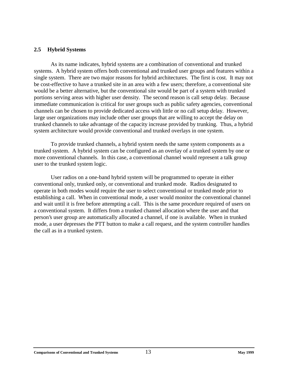#### <span id="page-16-0"></span>**2.5 Hybrid Systems**

As its name indicates, hybrid systems are a combination of conventional and trunked systems. A hybrid system offers both conventional and trunked user groups and features within a single system. There are two major reasons for hybrid architectures. The first is cost. It may not be cost-effective to have a trunked site in an area with a few users; therefore, a conventional site would be a better alternative, but the conventional site would be part of a system with trunked portions serving areas with higher user density. The second reason is call setup delay. Because immediate communication is critical for user groups such as public safety agencies, conventional channels can be chosen to provide dedicated access with little or no call setup delay. However, large user organizations may include other user groups that are willing to accept the delay on trunked channels to take advantage of the capacity increase provided by trunking. Thus, a hybrid system architecture would provide conventional and trunked overlays in one system.

To provide trunked channels, a hybrid system needs the same system components as a trunked system. A hybrid system can be configured as an overlay of a trunked system by one or more conventional channels. In this case, a conventional channel would represent a talk group user to the trunked system logic.

User radios on a one-band hybrid system will be programmed to operate in either conventional only, trunked only, or conventional and trunked mode. Radios designated to operate in both modes would require the user to select conventional or trunked mode prior to establishing a call. When in conventional mode, a user would monitor the conventional channel and wait until it is free before attempting a call. This is the same procedure required of users on a conventional system. It differs from a trunked channel allocation where the user and that person's user group are automatically allocated a channel, if one is available. When in trunked mode, a user depresses the PTT button to make a call request, and the system controller handles the call as in a trunked system.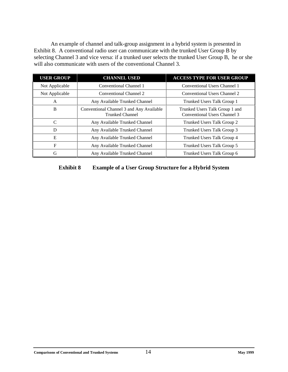<span id="page-17-0"></span>An example of channel and talk-group assignment in a hybrid system is presented in Exhibit 8. A conventional radio user can communicate with the trunked User Group B by selecting Channel 3 and vice versa: if a trunked user selects the trunked User Group B, he or she will also communicate with users of the conventional Channel 3.

| <b>USER GROUP</b>                                                       | <b>CHANNEL USED</b>           | <b>ACCESS TYPE FOR USER GROUP</b>                              |
|-------------------------------------------------------------------------|-------------------------------|----------------------------------------------------------------|
| Conventional Channel 1<br>Not Applicable                                |                               | Conventional Users Channel 1                                   |
| Conventional Channel 2<br>Not Applicable                                |                               | Conventional Users Channel 2                                   |
| Any Available Trunked Channel<br>A                                      |                               | Trunked Users Talk Group 1                                     |
| Conventional Channel 3 and Any Available<br>B<br><b>Trunked Channel</b> |                               | Trunked Users Talk Group 1 and<br>Conventional Users Channel 3 |
| $\mathcal{C}$<br>Any Available Trunked Channel                          |                               | Trunked Users Talk Group 2                                     |
| Any Available Trunked Channel<br>D                                      |                               | Trunked Users Talk Group 3                                     |
| E                                                                       | Any Available Trunked Channel | Trunked Users Talk Group 4                                     |
| F<br>Any Available Trunked Channel                                      |                               | Trunked Users Talk Group 5                                     |
| G                                                                       | Any Available Trunked Channel | Trunked Users Talk Group 6                                     |

**Exhibit 8 Example of a User Group Structure for a Hybrid System**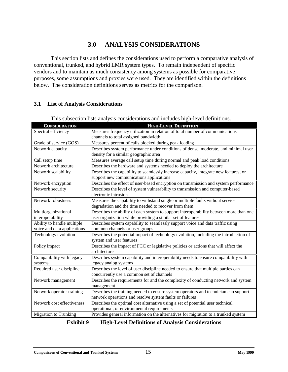# **3.0 ANALYSIS CONSIDERATIONS**

<span id="page-18-0"></span>This section lists and defines the considerations used to perform a comparative analysis of conventional, trunked, and hybrid LMR system types. To remain independent of specific vendors and to maintain as much consistency among systems as possible for comparative purposes, some assumptions and proxies were used. They are identified within the definitions below. The consideration definitions serves as metrics for the comparison.

#### **3.1 List of Analysis Considerations**

| <b>CONSIDERATION</b>         | <b>HIGH-LEVEL DEFINITION</b>                                                           |
|------------------------------|----------------------------------------------------------------------------------------|
| Spectral efficiency          | Measures frequency utilization in relation of total number of communications           |
|                              | channels to total assigned bandwidth                                                   |
| Grade of service (GOS)       | Measures percent of calls blocked during peak loading                                  |
| Network capacity             | Describes system performance under conditions of dense, moderate, and minimal user     |
|                              | density for a similar geographic area                                                  |
| Call setup time              | Measures average call setup time during normal and peak load conditions                |
| Network architecture         | Describes the hardware and systems needed to deploy the architecture                   |
| Network scalability          | Describes the capability to seamlessly increase capacity, integrate new features, or   |
|                              | support new communications applications                                                |
| Network encryption           | Describes the effect of user-based encryption on transmission and system performance   |
| Network security             | Describes the level of system vulnerability to transmission and computer-based         |
|                              | electronic intrusion                                                                   |
| Network robustness           | Measures the capability to withstand single or multiple faults without service         |
|                              | degradation and the time needed to recover from them                                   |
| Multiorganizational          | Describes the ability of each system to support interoperability between more than one |
| interoperability             | user organization while providing a similar set of features                            |
| Ability to handle multiple   | Describes system capability to seamlessly support voice and data traffic using         |
| voice and data applications  | common channels or user groups                                                         |
| Technology evolution         | Describes the potential impact of technology evolution, including the introduction of  |
|                              | system and user features                                                               |
| Policy impact                | Describes the impact of FCC or legislative policies or actions that will affect the    |
|                              | architecture                                                                           |
| Compatibility with legacy    | Describes system capability and interoperability needs to ensure compatibility with    |
| systems                      | legacy analog systems                                                                  |
| Required user discipline     | Describes the level of user discipline needed to ensure that multiple parties can      |
|                              | concurrently use a common set of channels                                              |
| Network management           | Describes the requirements for and the complexity of conducting network and system     |
|                              | management                                                                             |
| Network operator training    | Describes the training needed to ensure system operators and technician can support    |
|                              | network operations and resolve system faults or failures                               |
| Network cost effectiveness   | Describes the optimal cost alternative using a set of potential user technical,        |
|                              | operational, or environmental requirements                                             |
| <b>Migration to Trunking</b> | Provides general information on the alternatives for migration to a trunked system     |

This subsection lists analysis considerations and includes high-level definitions.

| Exhibit 9 | <b>High-Level Definitions of Analysis Considerations</b> |
|-----------|----------------------------------------------------------|
|-----------|----------------------------------------------------------|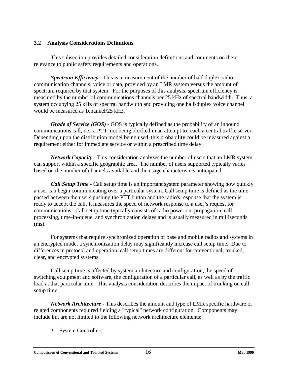#### <span id="page-19-0"></span>**3.2 Analysis Considerations Definitions**

This subsection provides detailed consideration definitions and comments on their relevance to public safety requirements and operations.

*Spectrum Efficiency -* This is a measurement of the number of half-duplex radio communication channels, voice or data, provided by an LMR system versus the amount of spectrum required by that system. For the purposes of this analysis, spectrum efficiency is measured by the number of communications channels per 25 kHz of spectral bandwidth. Thus, a system occupying 25 kHz of spectral bandwidth and providing one half-duplex voice channel would be measured as 1channel/25 kHz.

*Grade of Service (GOS) -* GOS is typically defined as the probability of an inbound communications call, i.e., a PTT, not being blocked in an attempt to reach a central traffic server. Depending upon the distribution model being used, this probability could be measured against a requirement either for immediate service or within a prescribed time delay.

*Network Capacity -* This consideration analyzes the number of users that an LMR system can support within a specific geographic area. The number of users supported typically varies based on the number of channels available and the usage characteristics anticipated.

*Call Setup Time* - Call setup time is an important system parameter showing how quickly a user can begin communicating over a particular system. Call setup time is defined as the time passed between the user's pushing the PTT button and the radio's response that the system is ready to accept the call. It measures the speed of network response to a user's request for communications. Call setup time typically consists of radio power on, propagation, call processing, time-in-queue, and synchronization delays and is usually measured in milliseconds (ms).

For systems that require synchronized operation of base and mobile radios and systems in an encrypted mode, a synchronization delay may significantly increase call setup time. Due to differences in protocol and operation, call setup times are different for conventional, trunked, clear, and encrypted systems.

Call setup time is affected by system architecture and configuration, the speed of switching equipment and software, the configuration of a particular call, as well as by the traffic load at that particular time. This analysis consideration describes the impact of trunking on call setup time.

*Network Architecture -* This describes the amount and type of LMR specific hardware or related components required fielding a "typical" network configuration. Components may include but are not limited to the following network architecture elements:

• System Controllers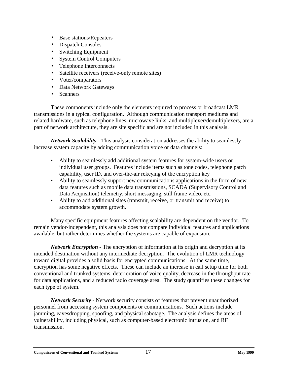- Base stations/Repeaters
- Dispatch Consoles
- Switching Equipment
- System Control Computers
- Telephone Interconnects
- Satellite receivers (receive-only remote sites)
- Voter/comparators
- Data Network Gateways
- Scanners

These components include only the elements required to process or broadcast LMR transmissions in a typical configuration. Although communication transport mediums and related hardware, such as telephone lines, microwave links, and multiplexer/demultiplexers, are a part of network architecture, they are site specific and are not included in this analysis.

*Network Scalability -* This analysis consideration addresses the ability to seamlessly increase system capacity by adding communication voice or data channels:

- Ability to seamlessly add additional system features for system-wide users or individual user groups. Features include items such as tone codes, telephone patch capability, user ID, and over-the-air rekeying of the encryption key
- Ability to seamlessly support new communications applications in the form of new data features such as mobile data transmissions, SCADA (Supervisory Control and Data Acquisition) telemetry, short messaging, still frame video, etc.
- Ability to add additional sites (transmit, receive, or transmit and receive) to accommodate system growth.

Many specific equipment features affecting scalability are dependent on the vendor. To remain vendor-independent, this analysis does not compare individual features and applications available, but rather determines whether the systems are capable of expansion.

*Network Encryption -* The encryption of information at its origin and decryption at its intended destination without any intermediate decryption. The evolution of LMR technology toward digital provides a solid basis for encrypted communications. At the same time, encryption has some negative effects. These can include an increase in call setup time for both conventional and trunked systems, deterioration of voice quality, decrease in the throughput rate for data applications, and a reduced radio coverage area. The study quantifies these changes for each type of system.

*Network Security -* Network security consists of features that prevent unauthorized personnel from accessing system components or communications. Such actions include jamming, eavesdropping, spoofing, and physical sabotage. The analysis defines the areas of vulnerability, including physical, such as computer-based electronic intrusion, and RF transmission.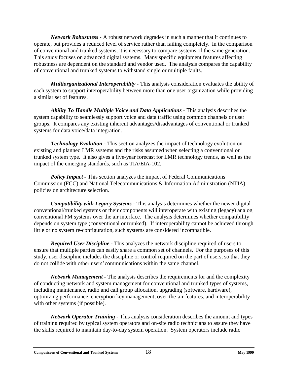*Network Robustness -* A robust network degrades in such a manner that it continues to operate, but provides a reduced level of service rather than failing completely. In the comparison of conventional and trunked systems, it is necessary to compare systems of the same generation. This study focuses on advanced digital systems. Many specific equipment features affecting robustness are dependent on the standard and vendor used. The analysis compares the capability of conventional and trunked systems to withstand single or multiple faults.

*Multiorganizational Interoperability -* This analysis consideration evaluates the ability of each system to support interoperability between more than one user organization while providing a similar set of features.

*Ability To Handle Multiple Voice and Data Applications -* This analysis describes the system capability to seamlessly support voice and data traffic using common channels or user groups. It compares any existing inherent advantages/disadvantages of conventional or trunked systems for data voice/data integration.

*Technology Evolution -* This section analyzes the impact of technology evolution on existing and planned LMR systems and the risks assumed when selecting a conventional or trunked system type. It also gives a five-year forecast for LMR technology trends, as well as the impact of the emerging standards, such as TIA/EIA-102.

*Policy Impact - This section analyzes the impact of Federal Communications* Commission (FCC) and National Telecommunications & Information Administration (NTIA) policies on architecture selection.

*Compatibility with Legacy Systems -* This analysis determines whether the newer digital conventional/trunked systems or their components will interoperate with existing (legacy) analog conventional FM systems over the air interface. The analysis determines whether compatibility depends on system type (conventional or trunked). If interoperability cannot be achieved through little or no system re-configuration, such systems are considered incompatible.

*Required User Discipline -* This analyzes the network discipline required of users to ensure that multiple parties can easily share a common set of channels. For the purposes of this study, user discipline includes the discipline or control required on the part of users, so that they do not collide with other users' communications within the same channel.

*Network Management -* The analysis describes the requirements for and the complexity of conducting network and system management for conventional and trunked types of systems, including maintenance, radio and call group allocation, upgrading (software, hardware), optimizing performance, encryption key management, over-the-air features, and interoperability with other systems (if possible).

*Network Operator Training -* This analysis consideration describes the amount and types of training required by typical system operators and on-site radio technicians to assure they have the skills required to maintain day-to-day system operation. System operators include radio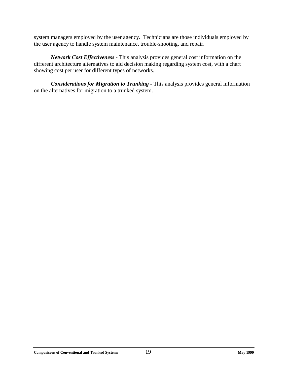system managers employed by the user agency. Technicians are those individuals employed by the user agency to handle system maintenance, trouble-shooting, and repair.

*Network Cost Effectiveness -* This analysis provides general cost information on the different architecture alternatives to aid decision making regarding system cost, with a chart showing cost per user for different types of networks.

*Considerations for Migration to Trunking -* This analysis provides general information on the alternatives for migration to a trunked system.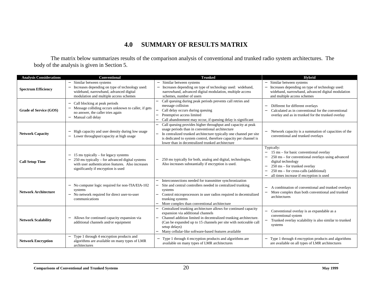# **4.0 SUMMARY OF RESULTS MATRIX**

<span id="page-23-0"></span>The matrix below summarizes results of the comparison analysis of conventional and trunked radio system architectures. The body of the analysis is given in Section 5.

| <b>Analysis Considerations</b> | Conventional                                                                                                                                                                                                      | <b>Trunked</b>                                                                                                                                                                                                                                                                                                        | <b>Hybrid</b>                                                                                                                                                                                                                                                                                                                                                                   |
|--------------------------------|-------------------------------------------------------------------------------------------------------------------------------------------------------------------------------------------------------------------|-----------------------------------------------------------------------------------------------------------------------------------------------------------------------------------------------------------------------------------------------------------------------------------------------------------------------|---------------------------------------------------------------------------------------------------------------------------------------------------------------------------------------------------------------------------------------------------------------------------------------------------------------------------------------------------------------------------------|
| <b>Spectrum Efficiency</b>     | Similar between systems<br>Increases depending on type of technology used:<br>$\overline{a}$<br>wideband, narrowband, advanced digital<br>modulation and multiple access schemes                                  | Similar between systems<br>Increases depending on type of technology used: wideband,<br>narrowband, advanced digital modulation, multiple access<br>schemes, number of users                                                                                                                                          | Similar between systems<br>Increases depending on type of technology used:<br>wideband, narrowband, advanced digital modulation<br>and multiple access schemes                                                                                                                                                                                                                  |
| <b>Grade of Service (GOS)</b>  | Call blocking at peak periods<br>$\overline{\phantom{0}}$<br>Message colliding occurs unknown to caller, if gets<br>no answer, the caller tries again<br>Manual call delay<br>$\equiv$                            | Call queuing during peak periods prevents call retries and<br>message collision<br>Call delay occurs during queuing<br>Preemptive access limited<br>Call abandonment may occur, if queuing delay is significant                                                                                                       | Different for different overlays<br>Calculated as in conventional for the conventional<br>$\overline{\phantom{0}}$<br>overlay and as in trunked for the trunked overlay                                                                                                                                                                                                         |
| <b>Network Capacity</b>        | High capacity and user density during low usage<br>$\qquad \qquad -$<br>Lower throughput/capacity at high usage                                                                                                   | Call queuing provides higher throughput and capacity at peak<br>usage periods than in conventional architecture<br>In centralized trunked architecture typically one channel per site<br>is dedicated to system control, therefore capacity per channel is<br>lower than in decentralized trunked architecture        | Network capacity is a summation of capacities of the<br>conventional and trunked overlays                                                                                                                                                                                                                                                                                       |
| <b>Call Setup Time</b>         | 15 ms typically $-$ for legacy systems<br>$\overline{\phantom{0}}$<br>250 ms typically - for advanced digital systems<br>with user authentication features. Also increases<br>significantly if encryption is used | 250 ms typically for both, analog and digital, technologies.<br>Also increases substantially if encryption is used.                                                                                                                                                                                                   | Typically:<br>15 ms – for basic conventional overlay<br>$\qquad \qquad -$<br>250 ms – for conventional overlays using advanced<br>$\overline{\phantom{0}}$<br>digital technology<br>250 ms - for trunked overlay<br>$\overline{\phantom{0}}$<br>250 ms – for cross-calls (additional)<br>$\overline{a}$<br>all times increase if encryption is used<br>$\overline{\phantom{0}}$ |
| <b>Network Architecture</b>    | No computer logic required for non-TIA/EIA-102<br>systems<br>No network required for direct user-to-user<br>communications                                                                                        | Interconnections needed for transmitter synchronization<br>Site and central controllers needed in centralized trunking<br>systems<br>Control microprocessors in user radios required in decentralized<br>trunking systems<br>More complex than conventional architecture                                              | A combination of conventional and trunked overlays<br>More complex than both conventional and trunked<br>architectures                                                                                                                                                                                                                                                          |
| <b>Network Scalability</b>     | Allows for continued capacity expansion via<br>additional channels and/or equipment                                                                                                                               | Centralized trunking architecture allows for continued capacity<br>expansion via additional channels<br>Channel addition limited in decentralized trunking architecture.<br>(Can be expanded up to 15 channels per site with noticeable call<br>setup delays)<br>Many cellular-like software-based features available | Conventional overlay is as expandable as a<br>conventional system<br>Trunked overlay scalability is also similar to trunked<br>systems                                                                                                                                                                                                                                          |
| <b>Network Encryption</b>      | Type 1 through 4 encryption products and<br>algorithms are available on many types of LMR<br>architectures                                                                                                        | Type 1 through 4 encryption products and algorithms are<br>available on many types of LMR architectures                                                                                                                                                                                                               | Type 1 through 4 encryption products and algorithms<br>are available on all types of LMR architectures                                                                                                                                                                                                                                                                          |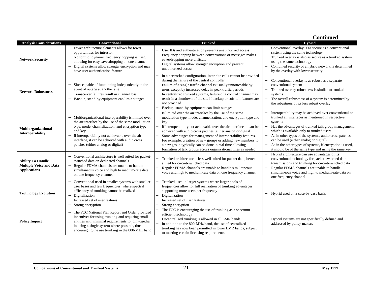|                                                                                   |                                                                                                                                                                                                                                                                                                                      |                                                                                                                                                                                                                                                                                                                                                                                                                                                                                                                                         | <b>Continued</b>                                                                                                                                                                                                                                                                                                                                                                                                                                 |
|-----------------------------------------------------------------------------------|----------------------------------------------------------------------------------------------------------------------------------------------------------------------------------------------------------------------------------------------------------------------------------------------------------------------|-----------------------------------------------------------------------------------------------------------------------------------------------------------------------------------------------------------------------------------------------------------------------------------------------------------------------------------------------------------------------------------------------------------------------------------------------------------------------------------------------------------------------------------------|--------------------------------------------------------------------------------------------------------------------------------------------------------------------------------------------------------------------------------------------------------------------------------------------------------------------------------------------------------------------------------------------------------------------------------------------------|
| <b>Analysis Considerations</b>                                                    | <b>Conventional</b>                                                                                                                                                                                                                                                                                                  | <b>Trunked</b>                                                                                                                                                                                                                                                                                                                                                                                                                                                                                                                          | Hybrid                                                                                                                                                                                                                                                                                                                                                                                                                                           |
| <b>Network Security</b>                                                           | Fewer architecture elements allows for fewer<br>opportunities for intrusion<br>No form of dynamic frequency hopping is used,<br>$\overline{\phantom{0}}$<br>allowing for easy eavesdropping on one channel<br>Digital systems allow stronger encryption and may<br>have user authentication feature                  | User IDs and authentication prevents unauthorized access<br>Frequency hopping between conversations or messages makes<br>eavesdropping more difficult<br>Digital systems allow stronger encryption and prevent<br>unauthorized access                                                                                                                                                                                                                                                                                                   | Conventional overlay is as secure as a conventional<br>system using the same technology<br>Trunked overlay is also as secure as a trunked system<br>$\overline{\phantom{0}}$<br>using the same technology<br>Combined security of a hybrid network is determined<br>$\overline{\phantom{0}}$<br>by the overlay with lower security                                                                                                               |
| <b>Network Robustness</b>                                                         | Sites capable of functioning independently in the<br>event of outage at another site<br>Transceiver failures result in channel loss<br>Backup, stand-by equipment can limit outages<br>$\qquad \qquad -$                                                                                                             | In a networked configuration, inter-site calls cannot be provided<br>during the failure of the central controller<br>Failure of a single traffic channel is usually unnoticeable by<br>users except by increased delay in peak traffic periods<br>In centralized trunked systems, failure of a control channel may<br>result in a shutdown of the site if backup or soft-fail features are<br>not provided<br>Backup, stand-by equipment can limit outages                                                                              | Conventional overlay is as robust as a separate<br>conventional system<br>Trunked overlay robustness is similar to trunked<br>$\overline{\phantom{0}}$<br>systems<br>The overall robustness of a system is determined by<br>the robustness of its less robust overlay                                                                                                                                                                            |
| Multiorganizational<br>Interoperability                                           | Multiorganizational interoperability is limited over<br>the air interface by the use of the same modulation<br>type, mode, channelization, and encryption type<br>and key<br>If interoperability not achievable over the air<br>interface, it can be achieved with audio cross<br>patches (either analog or digital) | Is limited over the air interface by the use of the same<br>modulation type, mode, channelization, and encryption type and<br>key<br>If interoperability not achievable over the air interface, it can be<br>achieved with audio cross patches (either analog or digital)<br>Some advantages for management of interoperability features.<br>For example, creation of new groups or adding new members to<br>a new group typically can be done in real time allowing<br>formation of talk groups across organizational lines as needed. | Interoperability may be achieved over conventional or<br>trunked air interfaces as mentioned in respective<br>systems<br>Has the advantages of trunked talk group management,<br>which is available only to trunked users<br>As in other types of the systems, audio cross patches<br>can be used (either analog or digital)<br>As in the other types of systems, if encryption is used,<br>it should be of the same type and using the same key |
| <b>Ability To Handle</b><br><b>Multiple Voice and Data</b><br><b>Applications</b> | Conventional architecture is well suited for packet-<br>switched data on dedicated channels<br>Regular FDMA channels are unable to handle<br>$\equiv$<br>simultaneous voice and high to medium-rate data<br>on one frequency channel                                                                                 | Trunked architecture is less well suited for packet data, better<br>suited for circuit-switched data<br>Regular FDMA channels are unable to handle simultaneous<br>voice and high to medium-rate data on one frequency channel                                                                                                                                                                                                                                                                                                          | Hybrid architecture can use advantages of its<br>conventional technology for packet-switched data<br>transmissions and trunking for circuit-switched data<br>Regular FDMA channels are unable to handle<br>simultaneous voice and high to medium-rate data on<br>one frequency channel                                                                                                                                                           |
| <b>Technology Evolution</b>                                                       | Conventional used in smaller systems with smaller<br>user bases and few frequencies, where spectral<br>efficiency of trunking cannot be realized<br>Digitalization<br>$\overline{\phantom{0}}$<br>Increased set of user features<br>$\qquad \qquad -$<br>Strong encryption<br>$\overline{\phantom{0}}$               | Trunked used in larger systems where larger pools of<br>frequencies allow for full realization of trunking advantages<br>supporting more users per frequency<br>Digitalization<br>Increased set of user features<br>Strong encryption                                                                                                                                                                                                                                                                                                   | - Hybrid used on a case-by-case basis                                                                                                                                                                                                                                                                                                                                                                                                            |
| <b>Policy Impact</b>                                                              | The FCC National Plan Report and Order provided<br>incentives for using trunking and requiring small<br>entities with minimal requirements to join together<br>in using a single system where possible, thus<br>encouraging the use trunking in the 800-MHz band                                                     | The FCC is encouraging the use of trunking as a spectrum-<br>efficient technology<br>Decentralized trunking is allowed in all LMR bands<br>In addition to the 800-MHz band, the use of centralized<br>trunking has now been permitted in lower LMR bands, subject<br>to meeting certain licensing requirements                                                                                                                                                                                                                          | Hybrid systems are not specifically defined and<br>addressed by policy makers                                                                                                                                                                                                                                                                                                                                                                    |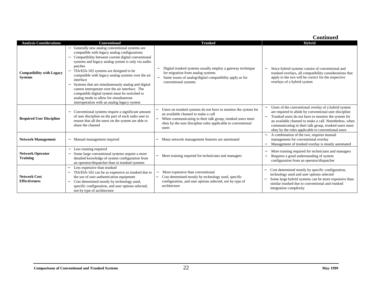|                                                    |                                                                                                                                                                                                                                                                                                                                                                                                                                                                                                                                                                                                                 |                                                                                                                                                                                                                                              | <b>Continued</b>                                                                                                                                                                                                                                                                                                                                                          |
|----------------------------------------------------|-----------------------------------------------------------------------------------------------------------------------------------------------------------------------------------------------------------------------------------------------------------------------------------------------------------------------------------------------------------------------------------------------------------------------------------------------------------------------------------------------------------------------------------------------------------------------------------------------------------------|----------------------------------------------------------------------------------------------------------------------------------------------------------------------------------------------------------------------------------------------|---------------------------------------------------------------------------------------------------------------------------------------------------------------------------------------------------------------------------------------------------------------------------------------------------------------------------------------------------------------------------|
| <b>Analysis Considerations</b>                     | Conventional                                                                                                                                                                                                                                                                                                                                                                                                                                                                                                                                                                                                    | <b>Trunked</b>                                                                                                                                                                                                                               | <b>Hybrid</b>                                                                                                                                                                                                                                                                                                                                                             |
| <b>Compatibility with Legacy</b><br><b>Systems</b> | Generally new analog conventional systems are<br>compatible with legacy analog configurations<br>Compatibility between current digital conventional<br>$\overline{\phantom{0}}$<br>systems and legacy analog system is only via audio<br>patches<br>TIA/EIA-102 systems are designed to be<br>compatible with legacy analog systems over the air<br>interface<br>Systems that are simultaneously analog and digital<br>cannot interoperate over the air interface. The<br>compatible digital system must be switched to<br>analog mode to allow for simultaneous<br>interoperation with an analog legacy system | Digital trunked systems usually employ a gateway technique<br>for migration from analog systems<br>Same issues of analog/digital compatibility apply as for<br>conventional systems                                                          | Since hybrid systems consist of conventional and<br>trunked overlays, all compatibility considerations that<br>apply to the two will be correct for the respective<br>overlays of a hybrid system                                                                                                                                                                         |
| <b>Required User Discipline</b>                    | Conventional systems require a significant amount<br>of user discipline on the part of each radio user to<br>ensure that all the users on the system are able to<br>share the channel                                                                                                                                                                                                                                                                                                                                                                                                                           | Users on trunked systems do not have to monitor the system for<br>an available channel to make a call<br>When communicating in their talk group, trunked users must<br>obey by the user discipline rules applicable to conventional<br>users | Users of the conventional overlay of a hybrid system<br>are required to abide by conventional user discipline<br>Trunked users do not have to monitor the system for<br>$\overline{\phantom{m}}$<br>an available channel to make a call. Nonetheless, when<br>communicating in their talk group, trunked users must<br>obey by the rules applicable to conventional users |
| <b>Network Management</b>                          | Manual management required<br>$\overline{\phantom{0}}$                                                                                                                                                                                                                                                                                                                                                                                                                                                                                                                                                          | Many network management features are automated                                                                                                                                                                                               | A combination of the two, requires manual<br>management for conventional overlay<br>Management of trunked overlay is mostly automated                                                                                                                                                                                                                                     |
| <b>Network Operator</b><br><b>Training</b>         | Less training required<br>$\overline{\phantom{0}}$<br>Some large conventional systems require a more<br>$\overline{\phantom{0}}$<br>detailed knowledge of system configuration from<br>an operator/dispatcher than in trunked systems                                                                                                                                                                                                                                                                                                                                                                           | More training required for technicians and managers                                                                                                                                                                                          | More training required for technicians and managers<br>Requires a good understanding of system<br>configuration from an operator/dispatcher                                                                                                                                                                                                                               |
| <b>Network Cost</b><br><b>Effectiveness</b>        | Less expensive than trunked<br>TIA/EIA-102 can be as expensive as trunked due to<br>the use of user authentication equipment<br>Cost determined mostly by technology used,<br>specific configuration, and user options selected,<br>not by type of architecture                                                                                                                                                                                                                                                                                                                                                 | More expensive than conventional<br>Cost determined mostly by technology used, specific<br>configuration, and user options selected, not by type of<br>architecture                                                                          | Cost determined mostly by specific configuration,<br>technology used and user options selected<br>Some large hybrid systems can be more expensive than<br>similar trunked due to conventional and trunked<br>integration complexity                                                                                                                                       |

#### **Comparisons of Conventional and Trunked Systems** 22 **May 1999**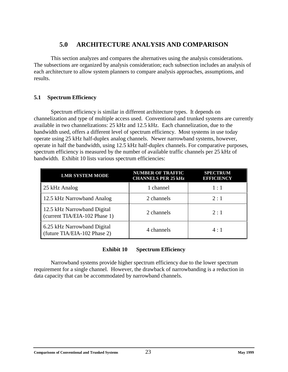# **5.0 ARCHITECTURE ANALYSIS AND COMPARISON**

<span id="page-26-0"></span>This section analyzes and compares the alternatives using the analysis considerations. The subsections are organized by analysis consideration; each subsection includes an analysis of each architecture to allow system planners to compare analysis approaches, assumptions, and results.

#### **5.1 Spectrum Efficiency**

Spectrum efficiency is similar in different architecture types. It depends on channelization and type of multiple access used. Conventional and trunked systems are currently available in two channelizations: 25 kHz and 12.5 kHz. Each channelization, due to the bandwidth used, offers a different level of spectrum efficiency. Most systems in use today operate using 25 kHz half-duplex analog channels. Newer narrowband systems, however, operate in half the bandwidth, using 12.5 kHz half-duplex channels. For comparative purposes, spectrum efficiency is measured by the number of available traffic channels per 25 kHz of bandwidth. Exhibit 10 lists various spectrum efficiencies:

| <b>LMR SYSTEM MODE</b>                                       | <b>NUMBER OF TRAFFIC</b><br><b>CHANNELS PER 25 kHz</b> | <b>SPECTRUM</b><br><b>EFFICIENCY</b> |
|--------------------------------------------------------------|--------------------------------------------------------|--------------------------------------|
| 25 kHz Analog                                                | 1 channel                                              | 1:1                                  |
| 12.5 kHz Narrowband Analog                                   | 2 channels                                             | 2:1                                  |
| 12.5 kHz Narrowband Digital<br>(current TIA/EIA-102 Phase 1) | 2 channels                                             | 2:1                                  |
| 6.25 kHz Narrowband Digital<br>(future TIA/EIA-102 Phase 2)  | 4 channels                                             | 4:1                                  |

#### **Exhibit 10 Spectrum Efficiency**

Narrowband systems provide higher spectrum efficiency due to the lower spectrum requirement for a single channel. However, the drawback of narrowbanding is a reduction in data capacity that can be accommodated by narrowband channels.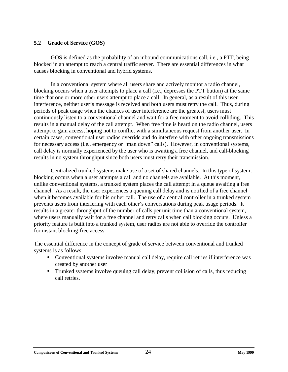#### <span id="page-27-0"></span>**5.2 Grade of Service (GOS)**

GOS is defined as the probability of an inbound communications call, i.e., a PTT, being blocked in an attempt to reach a central traffic server. There are essential differences in what causes blocking in conventional and hybrid systems.

In a conventional system where all users share and actively monitor a radio channel, blocking occurs when a user attempts to place a call (i.e., depresses the PTT button) at the same time that one or more other users attempt to place a call. In general, as a result of this user interference, neither user's message is received and both users must retry the call. Thus, during periods of peak usage when the chances of user interference are the greatest, users must continuously listen to a conventional channel and wait for a free moment to avoid colliding. This results in a manual delay of the call attempt. When free time is heard on the radio channel, users attempt to gain access, hoping not to conflict with a simultaneous request from another user. In certain cases, conventional user radios override and do interfere with other ongoing transmissions for necessary access (i.e., emergency or "man down" calls). However, in conventional systems, call delay is normally experienced by the user who is awaiting a free channel, and call-blocking results in no system throughput since both users must retry their transmission.

Centralized trunked systems make use of a set of shared channels. In this type of system, blocking occurs when a user attempts a call and no channels are available. At this moment, unlike conventional systems, a trunked system places the call attempt in a queue awaiting a free channel. As a result, the user experiences a queuing call delay and is notified of a free channel when it becomes available for his or her call. The use of a central controller in a trunked system prevents users from interfering with each other's conversations during peak usage periods. It results in a greater throughput of the number of calls per unit time than a conventional system, where users manually wait for a free channel and retry calls when call blocking occurs. Unless a priority feature is built into a trunked system, user radios are not able to override the controller for instant blocking-free access.

The essential difference in the concept of grade of service between conventional and trunked systems is as follows:

- Conventional systems involve manual call delay, require call retries if interference was created by another user
- Trunked systems involve queuing call delay, prevent collision of calls, thus reducing call retries.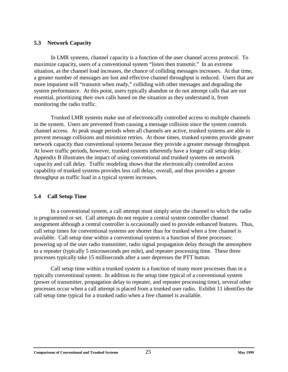#### <span id="page-28-0"></span>**5.3 Network Capacity**

In LMR systems, channel capacity is a function of the user channel access protocol. To maximize capacity, users of a conventional system "listen then transmit." In an extreme situation, as the channel load increases, the chance of colliding messages increases. At that time, a greater number of messages are lost and effective channel throughput is reduced. Users that are more impatient will "transmit when ready," colliding with other messages and degrading the system performance. At this point, users typically abandon or do not attempt calls that are not essential, prioritizing their own calls based on the situation as they understand it, from monitoring the radio traffic.

Trunked LMR systems make use of electronically controlled access to multiple channels in the system. Users are prevented from causing a message collision since the system controls channel access. At peak usage periods when all channels are active, trunked systems are able to prevent message collisions and minimize retries. At those times, trunked systems provide greater network capacity than conventional systems because they provide a greater message throughput. At lower traffic periods, however, trunked systems inherently have a longer call setup delay. Appendix B illustrates the impact of using conventional and trunked systems on network capacity and call delay. Traffic modeling shows that the electronically controlled access capability of trunked systems provides less call delay, overall, and thus provides a greater throughput as traffic load in a typical system increases.

#### **5.4 Call Setup Time**

In a conventional system, a call attempt must simply seize the channel to which the radio is programmed or set. Call attempts do not require a central system controller channel assignment although a central controller is occasionally used to provide enhanced features. Thus, call setup times for conventional systems are shorter than for trunked when a free channel is available. Call setup time within a conventional system is a function of three processes: powering up of the user radio transmitter, radio signal propagation delay through the atmosphere to a repeater (typically 5 microseconds per mile), and repeater processing time. These three processes typically take 15 milliseconds after a user depresses the PTT button.

Call setup time within a trunked system is a function of many more processes than in a typically conventional system. In addition to the setup time typical of a conventional system (power of transmitter, propagation delay to repeater, and repeater processing time), several other processes occur when a call attempt is placed from a trunked user radio. Exhibit 11 identifies the call setup time typical for a trunked radio when a free channel is available.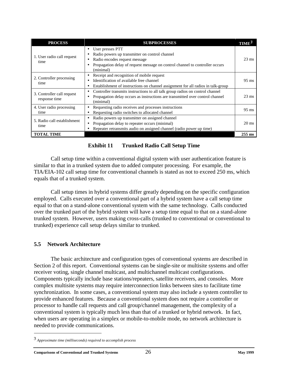<span id="page-29-0"></span>

| <b>PROCESS</b>                              | <b>SUBPROCESSES</b>                                                                                                                                                                              |                 |
|---------------------------------------------|--------------------------------------------------------------------------------------------------------------------------------------------------------------------------------------------------|-----------------|
| 1. User radio call request<br>time          | User presses PTT<br>Radio powers up transmitter on control channel<br>Radio encodes request message<br>Propagation delay of request message on control channel to controller occurs<br>(minimal) | $23 \text{ ms}$ |
| 2. Controller processing<br>time            | Receipt and recognition of mobile request<br>Identification of available free channel<br>Establishment of instructions on channel assignment for all radios in talk-group                        | $95 \text{ ms}$ |
| 3. Controller call request<br>response time | Controller transmits instructions to all talk group radios on control channel<br>$\bullet$<br>Propagation delay occurs as instructions are transmitted over control channel<br>(minimal)         | $23 \text{ ms}$ |
| 4. User radio processing<br>time            | Requesting radio receives and processes instructions<br>Requesting radio switches to allocated channel                                                                                           | $95 \text{ ms}$ |
| 5. Radio call establishment<br>time         | Radio powers up transmitter on assigned channel<br>Propagation delay to repeater occurs (minimal)<br>Repeater retransmits audio on assigned channel (radio power up time)                        | $20 \text{ ms}$ |
| <b>TOTAL TIME</b>                           |                                                                                                                                                                                                  | $255$ ms        |

#### **Exhibit 11 Trunked Radio Call Setup Time**

Call setup time within a conventional digital system with user authentication feature is similar to that in a trunked system due to added computer processing. For example, the TIA/EIA-102 call setup time for conventional channels is stated as not to exceed 250 ms, which equals that of a trunked system.

Call setup times in hybrid systems differ greatly depending on the specific configuration employed. Calls executed over a conventional part of a hybrid system have a call setup time equal to that on a stand-alone conventional system with the same technology. Calls conducted over the trunked part of the hybrid system will have a setup time equal to that on a stand-alone trunked system. However, users making cross-calls (trunked to conventional or conventional to trunked) experience call setup delays similar to trunked.

#### **5.5 Network Architecture**

The basic architecture and configuration types of conventional systems are described in Section 2 of this report. Conventional systems can be single-site or multisite systems and offer receiver voting, single channel multicast, and multichannel multicast configurations. Components typically include base stations/repeaters, satellite receivers, and consoles. More complex multisite systems may require interconnection links between sites to facilitate time synchronization. In some cases, a conventional system may also include a system controller to provide enhanced features. Because a conventional system does not require a controller or processor to handle call requests and call group/channel management, the complexity of a conventional system is typically much less than that of a trunked or hybrid network. In fact, when users are operating in a simplex or mobile-to-mobile mode, no network architecture is needed to provide communications.

*Approximate time (milliseconds) required to accomplish process*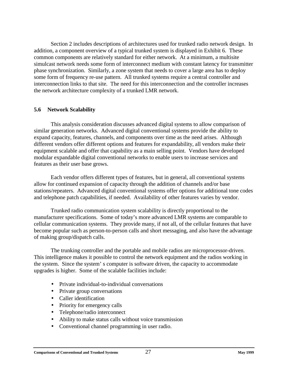<span id="page-30-0"></span>Section 2 includes descriptions of architectures used for trunked radio network design. In addition, a component overview of a typical trunked system is displayed in Exhibit 6. These common components are relatively standard for either network. At a minimum, a multisite simulcast network needs some form of interconnect medium with constant latency for transmitter phase synchronization. Similarly, a zone system that needs to cover a large area has to deploy some form of frequency re-use pattern. All trunked systems require a central controller and interconnection links to that site. The need for this interconnection and the controller increases the network architecture complexity of a trunked LMR network.

#### **5.6 Network Scalability**

This analysis consideration discusses advanced digital systems to allow comparison of similar generation networks. Advanced digital conventional systems provide the ability to expand capacity, features, channels, and components over time as the need arises. Although different vendors offer different options and features for expandability, all vendors make their equipment scalable and offer that capability as a main selling point. Vendors have developed modular expandable digital conventional networks to enable users to increase services and features as their user base grows.

Each vendor offers different types of features, but in general, all conventional systems allow for continued expansion of capacity through the addition of channels and/or base stations/repeaters. Advanced digital conventional systems offer options for additional tone codes and telephone patch capabilities, if needed. Availability of other features varies by vendor.

Trunked radio communication system scalability is directly proportional to the manufacturer specifications. Some of today's more advanced LMR systems are comparable to cellular communication systems. They provide many, if not all, of the cellular features that have become popular such as person-to-person calls and short messaging, and also have the advantage of making group/dispatch calls.

The trunking controller and the portable and mobile radios are microprocessor-driven. This intelligence makes it possible to control the network equipment and the radios working in the system. Since the system' s computer is software driven, the capacity to accommodate upgrades is higher. Some of the scalable facilities include:

- Private individual-to-individual conversations
- Private group conversations
- Caller identification
- Priority for emergency calls
- Telephone/radio interconnect
- Ability to make status calls without voice transmission
- Conventional channel programming in user radio.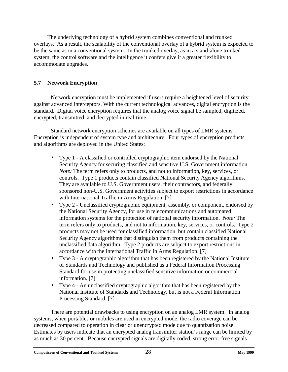<span id="page-31-0"></span>The underlying technology of a hybrid system combines conventional and trunked overlays. As a result, the scalability of the conventional overlay of a hybrid system is expected to be the same as in a conventional system. In the trunked overlay, as in a stand-alone trunked system, the control software and the intelligence it confers give it a greater flexibility to accommodate upgrades.

## **5.7 Network Encryption**

Network encryption must be implemented if users require a heightened level of security against advanced interceptors. With the current technological advances, digital encryption is the standard. Digital voice encryption requires that the analog voice signal be sampled, digitized, encrypted, transmitted, and decrypted in real-time.

Standard network encryption schemes are available on all types of LMR systems. Encryption is independent of system type and architecture. Four types of encryption products and algorithms are deployed in the United States:

- Type 1 A classified or controlled cryptographic item endorsed by the National Security Agency for securing classified and sensitive U.S. Government information. *Note:* The term refers only to products, and not to information, key, services, or controls. Type 1 products contain classified National Security Agency algorithms. They are available to U.S. Government users, their contractors, and federally sponsored non-U.S. Government activities subject to export restrictions in accordance with International Traffic in Arms Regulation. [7]
- Type 2 Unclassified cryptographic equipment, assembly, or component, endorsed by the National Security Agency, for use in telecommunications and automated information systems for the protection of national security information. *Note:* The term refers only to products, and not to information, key, services, or controls. Type 2 products may not be used for classified information, but contain classified National Security Agency algorithms that distinguish them from products containing the unclassified data algorithm. Type 2 products are subject to export restrictions in accordance with the International Traffic in Arms Regulation. [7]
- Type 3 A cryptographic algorithm that has been registered by the National Institute of Standards and Technology and published as a Federal Information Processing Standard for use in protecting unclassified sensitive information or commercial information. [7]
- Type 4 An unclassified cryptographic algorithm that has been registered by the National Institute of Standards and Technology, but is not a Federal Information Processing Standard. [7]

There are potential drawbacks to using encryption on an analog LMR system. In analog systems, when portables or mobiles are used in encrypted mode, the radio coverage can be decreased compared to operation in clear or unencrypted mode due to quantization noise. Estimates by users indicate that an encrypted analog transmitter station's range can be limited by as much as 30 percent. Because encrypted signals are digitally coded, strong error-free signals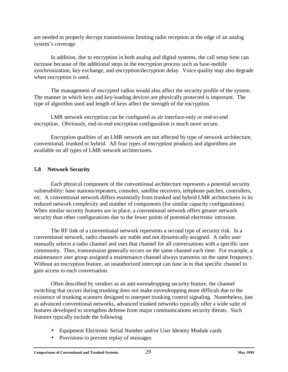<span id="page-32-0"></span>are needed to properly decrypt transmissions limiting radio reception at the edge of an analog system's coverage.

In addition, due to encryption in both analog and digital systems, the call setup time can increase because of the additional steps in the encryption process such as base-mobile synchronization, key exchange, and encryption/decryption delay. Voice quality may also degrade when encryption is used.

The management of encrypted radios would also affect the security profile of the system. The manner in which keys and key-loading devices are physically protected is important. The type of algorithm used and length of keys affect the strength of the encryption.

LMR network encryption can be configured as air interface-only or end-to-end encryption. Obviously, end-to-end encryption configuration is much more secure.

Encryption qualities of an LMR network are not affected by type of network architecture, conventional, trunked or hybrid. All four types of encryption products and algorithms are available on all types of LMR network architectures.

## **5.8 Network Security**

Each physical component of the conventional architecture represents a potential security vulnerability: base stations/repeaters, consoles, satellite receivers, telephone patches, controllers, etc. A conventional network differs essentially from trunked and hybrid LMR architectures in its reduced network complexity and number of components (for similar capacity configurations). When similar security features are in place, a conventional network offers greater network security than other configurations due to the fewer points of potential electronic intrusion.

The RF link of a conventional network represents a second type of security risk. In a conventional network, radio channels are stable and not dynamically assigned. A radio user manually selects a radio channel and uses that channel for all conversations with a specific user community. Thus, transmission generally occurs on the same channel each time. For example, a maintenance user group assigned a maintenance channel always transmits on the same frequency. Without an encryption feature, an unauthorized intercept can tune in to that specific channel to gain access to each conversation.

Often described by vendors as an anti-eavesdropping security feature, the channel switching that occurs during trunking does not make eavesdropping more difficult due to the existence of trunking scanners designed to interpret trunking control signaling. Nonetheless, just as advanced conventional networks, advanced trunked networks typically offer a wide suite of features developed to strengthen defense from major communications security threats. Such features typically include the following:

- Equipment Electronic Serial Number and/or User Identity Module cards
- Provisions to prevent replay of messages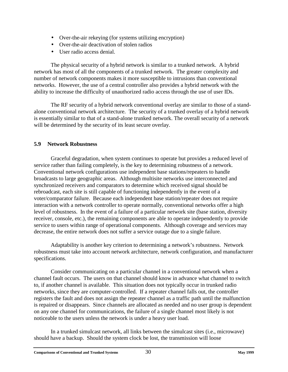- <span id="page-33-0"></span>• Over-the-air rekeying (for systems utilizing encryption)
- Over-the-air deactivation of stolen radios
- User radio access denial.

The physical security of a hybrid network is similar to a trunked network. A hybrid network has most of all the components of a trunked network. The greater complexity and number of network components makes it more susceptible to intrusions than conventional networks. However, the use of a central controller also provides a hybrid network with the ability to increase the difficulty of unauthorized radio access through the use of user IDs.

The RF security of a hybrid network conventional overlay are similar to those of a standalone conventional network architecture. The security of a trunked overlay of a hybrid network is essentially similar to that of a stand-alone trunked network. The overall security of a network will be determined by the security of its least secure overlay.

#### **5.9 Network Robustness**

Graceful degradation, when system continues to operate but provides a reduced level of service rather than failing completely, is the key to determining robustness of a network. Conventional network configurations use independent base stations/repeaters to handle broadcasts to large geographic areas. Although multisite networks use interconnected and synchronized receivers and comparators to determine which received signal should be rebroadcast, each site is still capable of functioning independently in the event of a voter/comparator failure. Because each independent base station/repeater does not require interaction with a network controller to operate normally, conventional networks offer a high level of robustness. In the event of a failure of a particular network site (base station, diversity receiver, console, etc.), the remaining components are able to operate independently to provide service to users within range of operational components. Although coverage and services may decrease, the entire network does not suffer a service outage due to a single failure.

Adaptability is another key criterion to determining a network's robustness. Network robustness must take into account network architecture, network configuration, and manufacturer specifications.

Consider communicating on a particular channel in a conventional network when a channel fault occurs. The users on that channel should know in advance what channel to switch to, if another channel is available. This situation does not typically occur in trunked radio networks, since they are computer-controlled. If a repeater channel falls out, the controller registers the fault and does not assign the repeater channel as a traffic path until the malfunction is repaired or disappears. Since channels are allocated as needed and no user group is dependent on any one channel for communications, the failure of a single channel most likely is not noticeable to the users unless the network is under a heavy user load.

In a trunked simulcast network, all links between the simulcast sites (i.e., microwave) should have a backup. Should the system clock be lost, the transmission will loose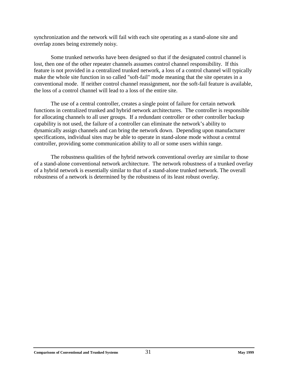synchronization and the network will fail with each site operating as a stand-alone site and overlap zones being extremely noisy.

Some trunked networks have been designed so that if the designated control channel is lost, then one of the other repeater channels assumes control channel responsibility. If this feature is not provided in a centralized trunked network, a loss of a control channel will typically make the whole site function in so called "soft-fail" mode meaning that the site operates in a conventional mode. If neither control channel reassignment, nor the soft-fail feature is available, the loss of a control channel will lead to a loss of the entire site.

The use of a central controller, creates a single point of failure for certain network functions in centralized trunked and hybrid network architectures. The controller is responsible for allocating channels to all user groups. If a redundant controller or other controller backup capability is not used, the failure of a controller can eliminate the network's ability to dynamically assign channels and can bring the network down. Depending upon manufacturer specifications, individual sites may be able to operate in stand-alone mode without a central controller, providing some communication ability to all or some users within range.

The robustness qualities of the hybrid network conventional overlay are similar to those of a stand-alone conventional network architecture. The network robustness of a trunked overlay of a hybrid network is essentially similar to that of a stand-alone trunked network. The overall robustness of a network is determined by the robustness of its least robust overlay.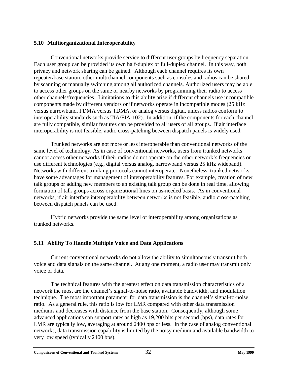#### <span id="page-35-0"></span>**5.10 Multiorganizational Interoperability**

Conventional networks provide service to different user groups by frequency separation. Each user group can be provided its own half-duplex or full-duplex channel. In this way, both privacy and network sharing can be gained. Although each channel requires its own repeater/base station, other multichannel components such as consoles and radios can be shared by scanning or manually switching among all authorized channels. Authorized users may be able to access other groups on the same or nearby networks by programming their radio to access other channels/frequencies. Limitations to this ability arise if different channels use incompatible components made by different vendors or if networks operate in incompatible modes (25 kHz versus narrowband, FDMA versus TDMA, or analog versus digital, unless radios conform to interoperability standards such as TIA/EIA-102). In addition, if the components for each channel are fully compatible, similar features can be provided to all users of all groups. If air interface interoperability is not feasible, audio cross-patching between dispatch panels is widely used.

Trunked networks are not more or less interoperable than conventional networks of the same level of technology. As in case of conventional networks, users from trunked networks cannot access other networks if their radios do not operate on the other network's frequencies or use different technologies (e.g., digital versus analog, narrowband versus 25 kHz wideband). Networks with different trunking protocols cannot interoperate. Nonetheless, trunked networks have some advantages for management of interoperability features. For example, creation of new talk groups or adding new members to an existing talk group can be done in real time, allowing formation of talk groups across organizational lines on as-needed basis. As in conventional networks, if air interface interoperability between networks is not feasible, audio cross-patching between dispatch panels can be used.

Hybrid networks provide the same level of interoperability among organizations as trunked networks.

#### **5.11 Ability To Handle Multiple Voice and Data Applications**

Current conventional networks do not allow the ability to simultaneously transmit both voice and data signals on the same channel. At any one moment, a radio user may transmit only voice or data.

The technical features with the greatest effect on data transmission characteristics of a network the most are the channel's signal-to-noise ratio, available bandwidth, and modulation technique. The most important parameter for data transmission is the channel's signal-to-noise ratio. As a general rule, this ratio is low for LMR compared with other data transmission mediums and decreases with distance from the base station. Consequently, although some advanced applications can support rates as high as 19,200 bits per second (bps), data rates for LMR are typically low, averaging at around 2400 bps or less. In the case of analog conventional networks, data transmission capability is limited by the noisy medium and available bandwidth to very low speed (typically 2400 bps).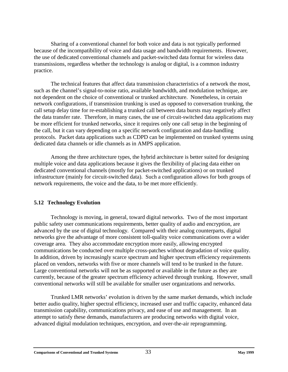<span id="page-36-0"></span>Sharing of a conventional channel for both voice and data is not typically performed because of the incompatibility of voice and data usage and bandwidth requirements. However, the use of dedicated conventional channels and packet-switched data format for wireless data transmissions, regardless whether the technology is analog or digital, is a common industry practice.

The technical features that affect data transmission characteristics of a network the most, such as the channel's signal-to-noise ratio, available bandwidth, and modulation technique, are not dependent on the choice of conventional or trunked architecture. Nonetheless, in certain network configurations, if transmission trunking is used as opposed to conversation trunking, the call setup delay time for re-establishing a trunked call between data bursts may negatively affect the data transfer rate. Therefore, in many cases, the use of circuit-switched data applications may be more efficient for trunked networks, since it requires only one call setup in the beginning of the call, but it can vary depending on a specific network configuration and data-handling protocols. Packet data applications such as CDPD can be implemented on trunked systems using dedicated data channels or idle channels as in AMPS application.

Among the three architecture types, the hybrid architecture is better suited for designing multiple voice and data applications because it gives the flexibility of placing data either on dedicated conventional channels (mostly for packet-switched applications) or on trunked infrastructure (mainly for circuit-switched data). Such a configuration allows for both groups of network requirements, the voice and the data, to be met more efficiently.

#### **5.12 Technology Evolution**

Technology is moving, in general, toward digital networks. Two of the most important public safety user communications requirements, better quality of audio and encryption, are advanced by the use of digital technology. Compared with their analog counterparts, digital networks give the advantage of more consistent toll-quality voice communications over a wider coverage area. They also accommodate encryption more easily, allowing encrypted communications be conducted over multiple cross-patches without degradation of voice quality. In addition, driven by increasingly scarce spectrum and higher spectrum efficiency requirements placed on vendors, networks with five or more channels will tend to be trunked in the future. Large conventional networks will not be as supported or available in the future as they are currently, because of the greater spectrum efficiency achieved through trunking. However, small conventional networks will still be available for smaller user organizations and networks.

Trunked LMR networks' evolution is driven by the same market demands, which include better audio quality, higher spectral efficiency, increased user and traffic capacity, enhanced data transmission capability, communications privacy, and ease of use and management. In an attempt to satisfy these demands, manufacturers are producing networks with digital voice, advanced digital modulation techniques, encryption, and over-the-air reprogramming.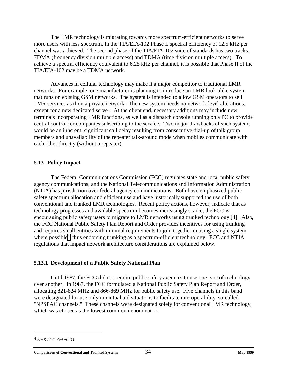<span id="page-37-0"></span>The LMR technology is migrating towards more spectrum-efficient networks to serve more users with less spectrum. In the TIA/EIA-102 Phase I, spectral efficiency of 12.5 kHz per channel was achieved. The second phase of the TIA/EIA-102 suite of standards has two tracks: FDMA (frequency division multiple access) and TDMA (time division multiple access). To achieve a spectral efficiency equivalent to 6.25 kHz per channel, it is possible that Phase II of the TIA/EIA-102 may be a TDMA network.

Advances in cellular technology may make it a major competitor to traditional LMR networks. For example, one manufacturer is planning to introduce an LMR look-alike system that runs on existing GSM networks. The system is intended to allow GSM operators to sell LMR services as if on a private network. The new system needs no network-level alterations, except for a new dedicated server. At the client end, necessary additions may include new terminals incorporating LMR functions, as well as a dispatch console running on a PC to provide central control for companies subscribing to the service. Two major drawbacks of such systems would be an inherent, significant call delay resulting from consecutive dial-up of talk group members and unavailability of the repeater talk-around mode when mobiles communicate with each other directly (without a repeater).

#### **5.13 Policy Impact**

The Federal Communications Commission (FCC) regulates state and local public safety agency communications, and the National Telecommunications and Information Administration (NTIA) has jurisdiction over federal agency communications. Both have emphasized public safety spectrum allocation and efficient use and have historically supported the use of both conventional and trunked LMR technologies. Recent policy actions, however, indicate that as technology progresses and available spectrum becomes increasingly scarce, the FCC is encouraging public safety users to migrate to LMR networks using trunked technology [4]. Also, the FCC National Public Safety Plan Report and Order provides incentives for using trunking and requires small entities with minimal requirements to join together in using a single system where possible*4*, thus endorsing trunking as a spectrum-efficient technology. FCC and NTIA regulations that impact network architecture considerations are explained below.

#### **5.13.1 Development of a Public Safety National Plan**

Until 1987, the FCC did not require public safety agencies to use one type of technology over another. In 1987, the FCC formulated a National Public Safety Plan Report and Order, allocating 821-824 MHz and 866-869 MHz for public safety use. Five channels in this band were designated for use only in mutual aid situations to facilitate interoperability, so-called "NPSPAC channels." These channels were designated solely for conventional LMR technology, which was chosen as the lowest common denominator.

<sup>&</sup>lt;sup>4</sup> See 3 FCC Rcd at 911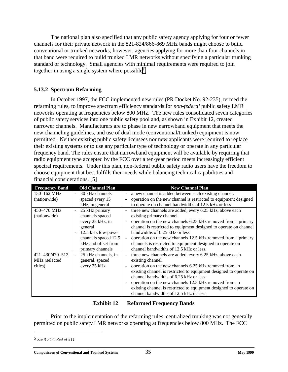<span id="page-38-0"></span>The national plan also specified that any public safety agency applying for four or fewer channels for their private network in the 821-824/866-869 MHz bands might choose to build conventional or trunked networks; however, agencies applying for more than four channels in that band were required to build trunked LMR networks without specifying a particular trunking standard or technology. Small agencies with minimal requirements were required to join together in using a single system where possible*5*.

#### **5.13.2 Spectrum Refarming**

In October 1997, the FCC implemented new rules (PR Docket No. 92-235), termed the refarming rules, to improve spectrum efficiency standards for *non-federal* public safety LMR networks operating at frequencies below 800 MHz. The new rules consolidated seven categories of public safety services into one public safety pool and, as shown in Exhibit 12, created narrower channels. Manufacturers are to phase in new narrowband equipment that meets the new channeling guidelines, and use of dual mode (conventional/trunked) equipment is now permitted. Neither existing public safety licensees nor new applicants were required to replace their existing systems or to use any particular type of technology or operate in any particular frequency band. The rules ensure that narrowband equipment will be available by requiring that radio equipment type accepted by the FCC over a ten-year period meets increasingly efficient spectral requirements. Under this plan, non-federal public safety radio users have the freedom to choose equipment that best fulfills their needs while balancing technical capabilities and financial considerations. [5]

| <b>Frequency Band</b>                       | <b>Old Channel Plan</b>                                                                                                                                                                                 | <b>New Channel Plan</b>                                                                                                                                                                                                                                                                                                                                                                                                                                                                                                    |
|---------------------------------------------|---------------------------------------------------------------------------------------------------------------------------------------------------------------------------------------------------------|----------------------------------------------------------------------------------------------------------------------------------------------------------------------------------------------------------------------------------------------------------------------------------------------------------------------------------------------------------------------------------------------------------------------------------------------------------------------------------------------------------------------------|
| 150–162 MHz<br>(nationwide)                 | 30 kHz channels<br>$\sim$<br>spaced every 15<br>kHz, in general                                                                                                                                         | a new channel is added between each existing channel.<br>$\overline{\phantom{a}}$<br>operation on the new channel is restricted to equipment designed<br>to operate on channel bandwidths of 12.5 kHz or less                                                                                                                                                                                                                                                                                                              |
| 450-470 MHz<br>(nationwide)                 | 25 kHz primary<br>$\overline{\phantom{a}}$<br>channels spaced<br>every 25 kHz, in<br>general<br>12.5 kHz low-power<br>$\blacksquare$<br>channels spaced 12.5<br>kHz and offset from<br>primary channels | three new channels are added, every 6.25 kHz, above each<br>$\overline{\phantom{a}}$<br>existing primary channel<br>operation on the new channels 6.25 kHz removed from a primary<br>$\overline{\phantom{a}}$<br>channel is restricted to equipment designed to operate on channel<br>bandwidths of 6.25 kHz or less<br>operation on the new channels 12.5 kHz removed from a primary<br>$\overline{\phantom{a}}$<br>channels is restricted to equipment designed to operate on<br>channel bandwidths of 12.5 kHz or less. |
| 421-430/470-512<br>MHz (selected<br>cities) | 25 kHz channels, in<br>$\overline{\phantom{a}}$<br>general, spaced<br>every 25 kHz                                                                                                                      | three new channels are added, every 6.25 kHz, above each<br>existing channel<br>operation on the new channels 6.25 kHz removed from an<br>$\overline{\phantom{a}}$<br>existing channel is restricted to equipment designed to operate on<br>channel bandwidths of 6.25 kHz or less<br>operation on the new channels 12.5 kHz removed from an<br>existing channel is restricted to equipment designed to operate on<br>channel bandwidths of 12.5 kHz or less                                                               |

#### **Exhibit 12 Refarmed Frequency Bands**

Prior to the implementation of the refarming rules, centralized trunking was not generally permitted on public safety LMR networks operating at frequencies below 800 MHz. The FCC

<sup>5</sup> See 3 FCC Rcd at 911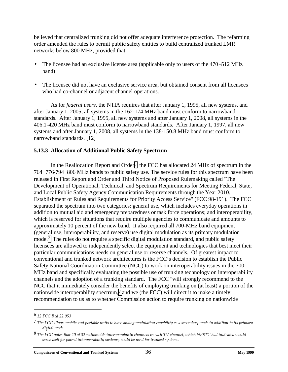believed that centralized trunking did not offer adequate interference protection. The refarming order amended the rules to permit public safety entities to build centralized trunked LMR networks below 800 MHz, provided that:

- The licensee had an exclusive license area (applicable only to users of the 470−512 MHz band)
- The licensee did not have an exclusive service area, but obtained consent from all licensees who had co-channel or adjacent channel operations.

As for *federal users*, the NTIA requires that after January 1, 1995, all new systems, and after January 1, 2005, all systems in the 162-174 MHz band must conform to narrowband standards. After January 1, 1995, all new systems and after January 1, 2008, all systems in the 406.1-420 MHz band must conform to narrowband standards. After January 1, 1997, all new systems and after January 1, 2008, all systems in the 138-150.8 MHz band must conform to narrowband standards. [12]

#### **5.13.3 Allocation of Additional Public Safety Spectrum**

In the Reallocation Report and Order*6*, the FCC has allocated 24 MHz of spectrum in the 764−776/794−806 MHz bands to public safety use. The service rules for this spectrum have been released in First Report and Order and Third Notice of Proposed Rulemaking called "The Development of Operational, Technical, and Spectrum Requirements for Meeting Federal, State, and Local Public Safety Agency Communication Requirements through the Year 2010. Establishment of Rules and Requirements for Priority Access Service" (FCC 98-191). The FCC separated the spectrum into two categories: general use, which includes everyday operations in addition to mutual aid and emergency preparedness or task force operations; and interoperability, which is reserved for situations that require multiple agencies to communicate and amounts to approximately 10 percent of the new band. It also required all 700-MHz band equipment (general use, interoperability, and reserve) use digital modulation as its primary modulation mode.<sup>7</sup> The rules do not require a specific digital modulation standard, and public safety licensees are allowed to independently select the equipment and technologies that best meet their particular communications needs on general use or reserve channels. Of greatest impact to conventional and trunked network architectures is the FCC's decision to establish the Public Safety National Coordination Committee (NCC) to work on interoperability issues in the 700- MHz band and specifically evaluating the possible use of trunking technology on interoperability channels and the adoption of a trunking standard. The FCC "will strongly recommend to the NCC that it immediately consider the benefits of employing trunking on (at least) a portion of the nationwide interoperability spectrum,*8* and we (the FCC) will direct it to make a timely recommendation to us as to whether Commission action to require trunking on nationwide

<sup>&</sup>lt;sup>6</sup> 12 FCC Rcd 22,953

<sup>&</sup>lt;sup>7</sup> The FCC allows mobile and portable units to have analog modulation capability as a secondary mode in addition to its primary digital mode.

 $8$  The FCC notes that 20 of 32 nationwide interoperability channels in each TV channel, which NPSTC had indicated would serve well for paired interoperability systems, could be used for trunked systems.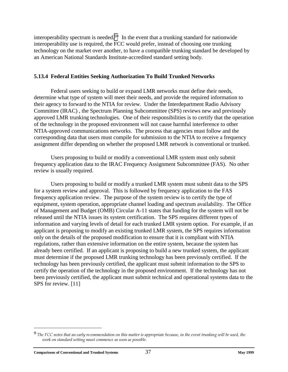interoperability spectrum is needed.*9*" In the event that a trunking standard for nationwide interoperability use is required, the FCC would prefer, instead of choosing one trunking technology on the market over another, to have a compatible trunking standard be developed by an American National Standards Institute-accredited standard setting body.

#### **5.13.4 Federal Entities Seeking Authorization To Build Trunked Networks**

Federal users seeking to build or expand LMR networks must define their needs, determine what type of system will meet their needs, and provide the required information to their agency to forward to the NTIA for review. Under the Interdepartment Radio Advisory Committee (IRAC) , the Spectrum Planning Subcommittee (SPS) reviews new and previously approved LMR trunking technologies. One of their responsibilities is to certify that the operation of the technology in the proposed environment will not cause harmful interference to other NTIA-approved communications networks. The process that agencies must follow and the corresponding data that users must compile for submission to the NTIA to receive a frequency assignment differ depending on whether the proposed LMR network is conventional or trunked.

Users proposing to build or modify a conventional LMR system must only submit frequency application data to the IRAC Frequency Assignment Subcommittee (FAS). No other review is usually required.

Users proposing to build or modify a trunked LMR system must submit data to the SPS for a system review and approval. This is followed by frequency application to the FAS frequency application review. The purpose of the system review is to certify the type of equipment, system operation, appropriate channel loading and spectrum availability. The Office of Management and Budget (OMB) Circular A-11 states that funding for the system will not be released until the NTIA issues its system certification. The SPS requires different types of information and varying levels of detail for each trunked LMR system option. For example, if an applicant is proposing to modify an existing trunked LMR system, the SPS requires information only on the details of the proposed modification to ensure that it is compliant with NTIA regulations, rather than extensive information on the entire system, because the system has already been certified. If an applicant is proposing to build a new trunked system, the applicant must determine if the proposed LMR trunking technology has been previously certified. If the technology has been previously certified, the applicant must submit information to the SPS to certify the operation of the technology in the proposed environment. If the technology has not been previously certified, the applicant must submit technical and operational systems data to the SPS for review. [11]

<sup>&</sup>lt;sup>9</sup> The FCC notes that an early recommendation on this matter is appropriate because, in the event trunking will be used, the *zvork on standard setting must commence as soon as possible.*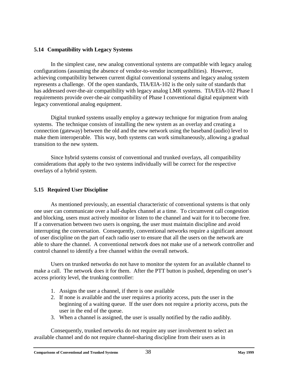#### <span id="page-41-0"></span>**5.14 Compatibility with Legacy Systems**

In the simplest case, new analog conventional systems are compatible with legacy analog configurations (assuming the absence of vendor-to-vendor incompatibilities). However, achieving compatibility between current digital conventional systems and legacy analog system represents a challenge. Of the open standards, TIA/EIA-102 is the only suite of standards that has addressed over-the-air compatibility with legacy analog LMR systems. TIA/EIA-102 Phase I requirements provide over-the-air compatibility of Phase I conventional digital equipment with legacy conventional analog equipment.

Digital trunked systems usually employ a gateway technique for migration from analog systems. The technique consists of installing the new system as an overlay and creating a connection (gateway) between the old and the new network using the baseband (audio) level to make them interoperable. This way, both systems can work simultaneously, allowing a gradual transition to the new system.

Since hybrid systems consist of conventional and trunked overlays, all compatibility considerations that apply to the two systems individually will be correct for the respective overlays of a hybrid system.

#### **5.15 Required User Discipline**

As mentioned previously, an essential characteristic of conventional systems is that only one user can communicate over a half-duplex channel at a time. To circumvent call congestion and blocking, users must actively monitor or listen to the channel and wait for it to become free. If a conversation between two users is ongoing, the user must maintain discipline and avoid interrupting the conversation. Consequently, conventional networks require a significant amount of user discipline on the part of each radio user to ensure that all the users on the network are able to share the channel. A conventional network does not make use of a network controller and control channel to identify a free channel within the overall network.

Users on trunked networks do not have to monitor the system for an available channel to make a call. The network does it for them. After the PTT button is pushed, depending on user's access priority level, the trunking controller:

- 1. Assigns the user a channel, if there is one available
- 2. If none is available and the user requires a priority access, puts the user in the beginning of a waiting queue. If the user does not require a priority access, puts the user in the end of the queue.
- 3. When a channel is assigned, the user is usually notified by the radio audibly.

Consequently, trunked networks do not require any user involvement to select an available channel and do not require channel-sharing discipline from their users as in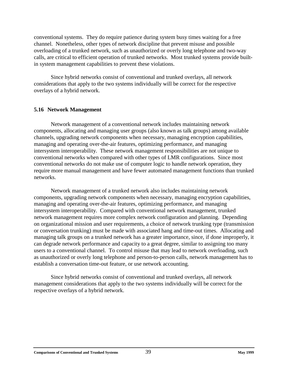<span id="page-42-0"></span>conventional systems. They do require patience during system busy times waiting for a free channel. Nonetheless, other types of network discipline that prevent misuse and possible overloading of a trunked network, such as unauthorized or overly long telephone and two-way calls, are critical to efficient operation of trunked networks. Most trunked systems provide builtin system management capabilities to prevent these violations.

Since hybrid networks consist of conventional and trunked overlays, all network considerations that apply to the two systems individually will be correct for the respective overlays of a hybrid network.

#### **5.16 Network Management**

Network management of a conventional network includes maintaining network components, allocating and managing user groups (also known as talk groups) among available channels, upgrading network components when necessary, managing encryption capabilities, managing and operating over-the-air features, optimizing performance, and managing intersystem interoperability. These network management responsibilities are not unique to conventional networks when compared with other types of LMR configurations. Since most conventional networks do not make use of computer logic to handle network operation, they require more manual management and have fewer automated management functions than trunked networks.

Network management of a trunked network also includes maintaining network components, upgrading network components when necessary, managing encryption capabilities, managing and operating over-the-air features, optimizing performance, and managing intersystem interoperability. Compared with conventional network management, trunked network management requires more complex network configuration and planning. Depending on organizational mission and user requirements, a choice of network trunking type (transmission or conversation trunking) must be made with associated hang and time-out times. Allocating and managing talk groups on a trunked network has a greater importance, since, if done improperly, it can degrade network performance and capacity to a great degree, similar to assigning too many users to a conventional channel. To control misuse that may lead to network overloading, such as unauthorized or overly long telephone and person-to-person calls, network management has to establish a conversation time-out feature, or use network accounting.

Since hybrid networks consist of conventional and trunked overlays, all network management considerations that apply to the two systems individually will be correct for the respective overlays of a hybrid network.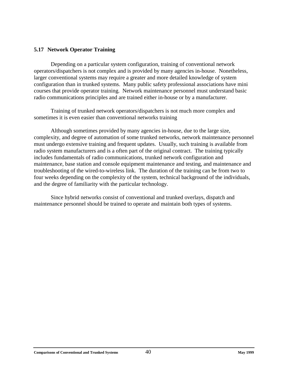#### <span id="page-43-0"></span>**5.17 Network Operator Training**

Depending on a particular system configuration, training of conventional network operators/dispatchers is not complex and is provided by many agencies in-house. Nonetheless, larger conventional systems may require a greater and more detailed knowledge of system configuration than in trunked systems. Many public safety professional associations have mini courses that provide operator training. Network maintenance personnel must understand basic radio communications principles and are trained either in-house or by a manufacturer.

Training of trunked network operators/dispatchers is not much more complex and sometimes it is even easier than conventional networks training

Although sometimes provided by many agencies in-house, due to the large size, complexity, and degree of automation of some trunked networks, network maintenance personnel must undergo extensive training and frequent updates. Usually, such training is available from radio system manufacturers and is a often part of the original contract. The training typically includes fundamentals of radio communications, trunked network configuration and maintenance, base station and console equipment maintenance and testing, and maintenance and troubleshooting of the wired-to-wireless link. The duration of the training can be from two to four weeks depending on the complexity of the system, technical background of the individuals, and the degree of familiarity with the particular technology.

Since hybrid networks consist of conventional and trunked overlays, dispatch and maintenance personnel should be trained to operate and maintain both types of systems.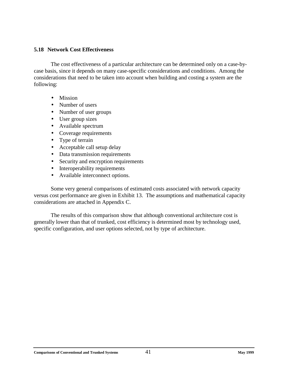#### <span id="page-44-0"></span>**5.18 Network Cost Effectiveness**

The cost effectiveness of a particular architecture can be determined only on a case-bycase basis, since it depends on many case-specific considerations and conditions. Among the considerations that need to be taken into account when building and costing a system are the following:

- Mission
- Number of users
- Number of user groups
- User group sizes
- Available spectrum
- Coverage requirements
- Type of terrain
- Acceptable call setup delay
- Data transmission requirements
- Security and encryption requirements
- Interoperability requirements
- Available interconnect options.

Some very general comparisons of estimated costs associated with network capacity versus cost performance are given in Exhibit 13. The assumptions and mathematical capacity considerations are attached in Appendix C.

The results of this comparison show that although conventional architecture cost is generally lower than that of trunked, cost efficiency is determined most by technology used, specific configuration, and user options selected, not by type of architecture.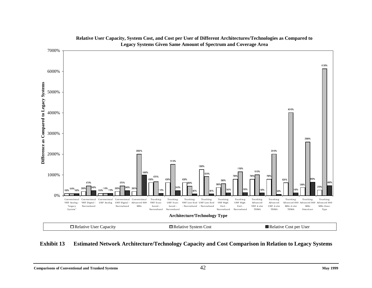<span id="page-45-0"></span>

#### **Relative User Capacity, System Cost, and Cost per User of Different Architectures/Technologies as Compared to Legacy Systems Given Same Amount of Spectrum and Coverage Area**

**Exhibit 13 Estimated Network Architecture/Technology Capacity and Cost Comparison in Relation to Legacy Systems**

**Comparisons of Conventional and Trunked Systems** 42 **May 1999**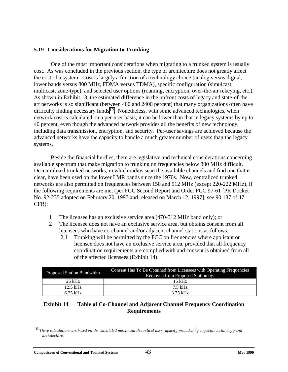#### <span id="page-46-0"></span>**5.19 Considerations for Migration to Trunking**

One of the most important considerations when migrating to a trunked system is usually cost. As was concluded in the previous section, the type of architecture does not greatly affect the cost of a system. Cost is largely a function of a technology choice (analog versus digital, lower bands versus 800 MHz, FDMA versus TDMA), specific configuration (simulcast, multicast, zone-type), and selected user options (roaming, encryption, over-the-air rekeying, etc.). As shown in Exhibit 13, the estimated difference in the upfront costs of legacy and state-of-the art networks is so significant (between 400 and 2400 percent) that many organizations often have difficulty finding necessary funds*10*. Nonetheless, with some advanced technologies, when network cost is calculated on a per-user basis, it can be lower than that in legacy systems by up to 40 percent, even though the advanced network provides all the benefits of new technology, including data transmission, encryption, and security. Per-user savings are achieved because the advanced networks have the capacity to handle a much greater number of users than the legacy systems.

Beside the financial hurdles, there are legislative and technical considerations concerning available spectrum that make migration to trunking on frequencies below 800 MHz difficult. Decentralized trunked networks, in which radios scan the available channels and find one that is clear, have been used on the lower LMR bands since the 1970s. Now, centralized trunked networks are also permitted on frequencies between 150 and 512 MHz (except 220-222 MHz), if the following requirements are met (per FCC Second Report and Order FCC 97-61 [PR Docket No. 92-235 adopted on February 20, 1997 and released on March 12, 1997]; see 90.187 of 47 CFR):

- 1 The licensee has an exclusive service area (470-512 MHz band only); or
- 2 The licensee does not have an exclusive service area, but obtains consent from all licensees who have co-channel and/or adjacent channel stations as follows:
	- 2.1 Trunking will be permitted by the FCC on frequencies where applicant or licensee does not have an exclusive service area, provided that all frequency coordination requirements are complied with and consent is obtained from all of the affected licensees (Exhibit 14).

| <b>Proposed Station Bandwidth</b> | Consent Has To Be Obtained from Licensees with Operating Frequencies<br>Removed from Proposed Station by: |  |
|-----------------------------------|-----------------------------------------------------------------------------------------------------------|--|
| $25$ kHz                          | $15$ kHz                                                                                                  |  |
| $12.5$ kHz                        | 7.5 kHz                                                                                                   |  |
| $6.25$ kHz                        | 3.75 kHz                                                                                                  |  |

#### **Exhibit 14 Table of Co-Channel and Adjacent Channel Frequency Coordination Requirements**

 $^{10}$  These calculations are based on the calculated maximum theoretical user capacity provided by a specific technology and architecture.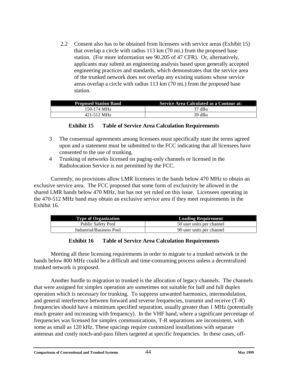<span id="page-47-0"></span>2.2 Consent also has to be obtained from licensees with service areas (Exhibit 15) that overlap a circle with radius 113 km (70 mi.) from the proposed base station. (For more information see 90.205 of 47 CFR). Or, alternatively, applicants may submit an engineering analysis based upon generally accepted engineering practices and standards, which demonstrates that the service area of the trunked network does not overlap any existing stations whose service areas overlap a circle with radius 113 km (70 mi.) from the proposed base station.

| <b>Proposed Station Band</b> | <b>Service Area Calculated as a Contour at:</b> |
|------------------------------|-------------------------------------------------|
| 150-174 MHz                  | 37 dBu                                          |
| 421-512 MHz                  | 39 dBu                                          |

#### **Exhibit 15 Table of Service Area Calculation Requirements**

- 3 The consensual agreements among licensees must specifically state the terms agreed upon and a statement must be submitted to the FCC indicating that all licensees have consented to the use of trunking.
- 4 Trunking of networks licensed on paging-only channels or licensed in the Radiolocation Service is not permitted by the FCC.

Currently, no provisions allow LMR licensees in the bands below 470 MHz to obtain an exclusive service area. The FCC proposed that some form of exclusivity be allowed in the shared LMR bands below 470 MHz, but has not yet ruled on this issue. Licensees operating in the 470-512 MHz band may obtain an exclusive service area if they meet requirements in the Exhibit 16.

| <b>Type of Organization</b> | <b>Loading Requirement</b> |
|-----------------------------|----------------------------|
| <b>Public Safety Pool</b>   | 50 user units per channel  |
| Industrial/Business Pool    | 90 user units per channel  |

#### **Exhibit 16 Table of Service Area Calculation Requirements**

Meeting all these licensing requirements in order to migrate to a trunked network in the bands below 800 MHz could be a difficult and time-consuming process unless a decentralized trunked network is proposed.

Another hurdle to migration to trunked is the allocation of legacy channels. The channels that were assigned for simplex operation are sometimes not suitable for half and full duplex operation which is necessary for trunking. To suppress unwanted harmonics, intermodulation, and general interference between forward and reverse frequencies, transmit and receive (T-R) frequencies should have a minimum specified separation, usually greater than 1 MHz (potentially much greater and increasing with frequency). In the VHF band, where a significant percentage of frequencies was licensed for simplex communications, T-R separations are inconsistent, with some as small as 120 kHz. These spacings require customized installations with separate antennas and costly notch-and-pass filters targeted at specific frequencies. In these cases, off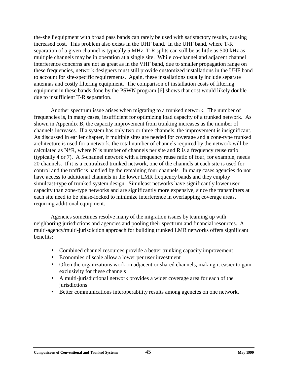the-shelf equipment with broad pass bands can rarely be used with satisfactory results, causing increased cost. This problem also exists in the UHF band. In the UHF band, where T-R separation of a given channel is typically 5 MHz, T-R splits can still be as little as 500 kHz as multiple channels may be in operation at a single site. While co-channel and adjacent channel interference concerns are not as great as in the VHF band, due to smaller propagation range on these frequencies, network designers must still provide customized installations in the UHF band to account for site-specific requirements. Again, these installations usually include separate antennas and costly filtering equipment. The comparison of installation costs of filtering equipment in these bands done by the PSWN program [6] shows that cost would likely double due to insufficient T-R separation.

Another spectrum issue arises when migrating to a trunked network. The number of frequencies is, in many cases, insufficient for optimizing load capacity of a trunked network. As shown in Appendix B, the capacity improvement from trunking increases as the number of channels increases. If a system has only two or three channels, the improvement is insignificant. As discussed in earlier chapter, if multiple sites are needed for coverage and a zone-type trunked architecture is used for a network, the total number of channels required by the network will be calculated as  $N^*R$ , where N is number of channels per site and R is a frequency reuse ratio (typically 4 or 7). A 5-channel network with a frequency reuse ratio of four, for example, needs 20 channels. If it is a centralized trunked network, one of the channels at each site is used for control and the traffic is handled by the remaining four channels. In many cases agencies do not have access to additional channels in the lower LMR frequency bands and they employ simulcast-type of trunked system design. Simulcast networks have significantly lower user capacity than zone-type networks and are significantly more expensive, since the transmitters at each site need to be phase-locked to minimize interference in overlapping coverage areas, requiring additional equipment.

Agencies sometimes resolve many of the migration issues by teaming up with neighboring jurisdictions and agencies and pooling their spectrum and financial resources. A multi-agency/multi-jurisdiction approach for building trunked LMR networks offers significant benefits:

- Combined channel resources provide a better trunking capacity improvement
- Economies of scale allow a lower per user investment
- Often the organizations work on adjacent or shared channels, making it easier to gain exclusivity for these channels
- A multi-jurisdictional network provides a wider coverage area for each of the jurisdictions
- Better communications interoperability results among agencies on one network.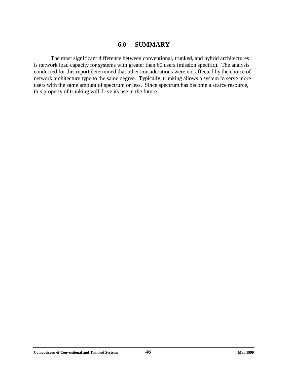## **6.0 SUMMARY**

<span id="page-49-0"></span>The most significant difference between conventional, trunked, and hybrid architectures is network load capacity for systems with greater than 60 users (mission specific). The analysis conducted for this report determined that other considerations were not affected by the choice of network architecture type to the same degree. Typically, trunking allows a system to serve more users with the same amount of spectrum or less. Since spectrum has become a scarce resource, this property of trunking will drive its use in the future.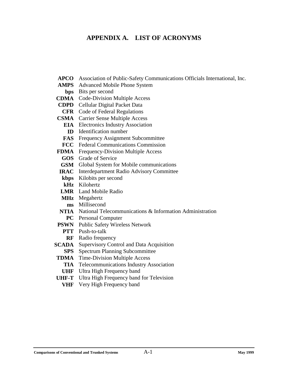## <span id="page-50-0"></span>**APPENDIX A. LIST OF ACRONYMS**

- **APCO** Association of Public-Safety Communications Officials International, Inc.
- **AMPS** Advanced Mobile Phone System
- **bps** Bits per second
- **CDMA** Code-Division Multiple Access
- **CDPD** Cellular Digital Packet Data
- **CFR** Code of Federal Regulations
- **CSMA** Carrier Sense Multiple Access
	- **EIA** Electronics Industry Association
	- **ID** Identification number
	- **FAS** Frequency Assignment Subcommittee
	- **FCC** Federal Communications Commission
- **FDMA** Frequency-Division Multiple Access
	- **GOS** Grade of Service
	- **GSM** Global System for Mobile communications
- **IRAC** Interdepartment Radio Advisory Committee
- **kbps** Kilobits per second
- **kHz** Kilohertz
- **LMR** Land Mobile Radio
- **MHz** Megahertz
- **ms** Millisecond
- **NTIA** National Telecommunications & Information Administration
	- **PC** Personal Computer
- **PSWN** Public Safety Wireless Network
	- **PTT** Push-to-talk
		- **RF** Radio frequency
- **SCADA** Supervisory Control and Data Acquisition
	- **SPS** Spectrum Planning Subcommittee
- **TDMA** Time-Division Multiple Access
	- **TIA** Telecommunications Industry Association
- **UHF** Ultra High Frequency band
- **UHF-T** Ultra High Frequency band for Television
	- **VHF** Very High Frequency band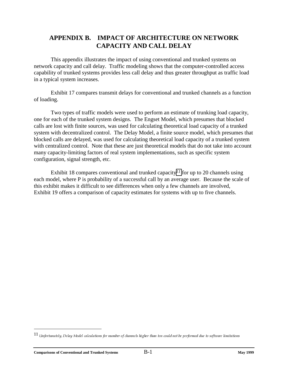## <span id="page-51-0"></span>**APPENDIX B. IMPACT OF ARCHITECTURE ON NETWORK CAPACITY AND CALL DELAY**

This appendix illustrates the impact of using conventional and trunked systems on network capacity and call delay. Traffic modeling shows that the computer-controlled access capability of trunked systems provides less call delay and thus greater throughput as traffic load in a typical system increases.

Exhibit 17 compares transmit delays for conventional and trunked channels as a function of loading.

Two types of traffic models were used to perform an estimate of trunking load capacity, one for each of the trunked system designs. The Engset Model, which presumes that blocked calls are lost with finite sources, was used for calculating theoretical load capacity of a trunked system with decentralized control. The Delay Model, a finite source model, which presumes that blocked calls are delayed, was used for calculating theoretical load capacity of a trunked system with centralized control. Note that these are just theoretical models that do not take into account many capacity-limiting factors of real system implementations, such as specific system configuration, signal strength, etc.

Exhibit 18 compares conventional and trunked capacity*11* for up to 20 channels using each model, where P is probability of a successful call by an average user. Because the scale of this exhibit makes it difficult to see differences when only a few channels are involved, Exhibit 19 offers a comparison of capacity estimates for systems with up to five channels.

 $^{11}$  Unfortunately, Delay Model calculations for number of channels higher than ten could not be performed due to software limitations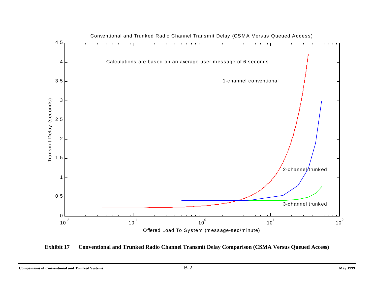<span id="page-52-0"></span>

**Exhibit 17 Conventional and Trunked Radio Channel Transmit Delay Comparison (CSMA Versus Queued Access)**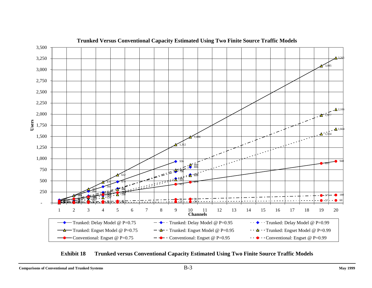<span id="page-53-0"></span>

**Trunked Versus Conventional Capacity Estimated Using Two Finite Source Traffic Models**

**Exhibit 18 Trunked versus Conventional Capacity Estimated Using Two Finite Source Traffic Models**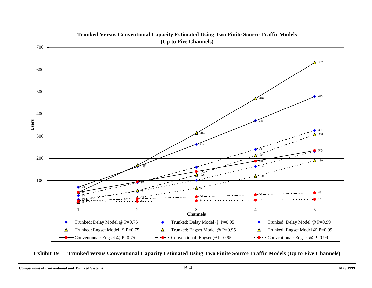<span id="page-54-0"></span>

#### **Trunked Versus Conventional Capacity Estimated Using Two Finite Source Traffic Models (Up to Five Channels)**

**Exhibit 19 Trunked versus Conventional Capacity Estimated Using Two Finite Source Traffic Models (Up to Five Channels)**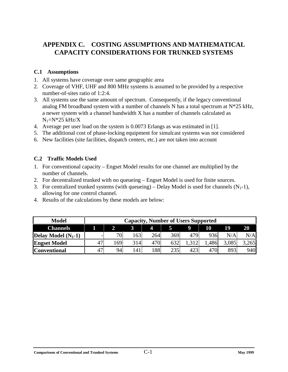# <span id="page-55-0"></span>**APPENDIX C. COSTING ASSUMPTIONS AND MATHEMATICAL CAPACITY CONSIDERATIONS FOR TRUNKED SYSTEMS**

#### **C.1 Assumptions**

- 1. All systems have coverage over same geographic area
- 2. Coverage of VHF, UHF and 800 MHz systems is assumed to be provided by a respective number-of-sites ratio of 1:2:4.
- 3. All systems use the same amount of spectrum. Consequently, if the legacy conventional analog FM broadband system with a number of channels N has a total spectrum at  $N^*25$  kHz, a newer system with a channel bandwidth X has a number of channels calculated as  $N_1=N*25$  kHz/X
- 4. Average per user load on the system is 0.0073 Erlangs as was estimated in [1].
- 5. The additional cost of phase-locking equipment for simulcast systems was not considered
- 6. New facilities (site facilities, dispatch centers, etc.) are not taken into account

#### **C.2 Traffic Models Used**

- 1. For conventional capacity Engset Model results for one channel are multiplied by the number of channels.
- 2. For decentralized trunked with no queueing Engset Model is used for finite sources.
- 3. For centralized trunked systems (with queueing) Delay Model is used for channels  $(N_1-1)$ , allowing for one control channel.
- 4. Results of the calculations by these models are below:

| <b>Model</b>          |    |    |     |     |     | <b>Capacity, Number of Users Supported</b> |      |       |       |
|-----------------------|----|----|-----|-----|-----|--------------------------------------------|------|-------|-------|
| <b>Channels</b>       |    |    |     |     |     | 9                                          | 10   | 19    | 20    |
| Delay Model $(N_1-1)$ |    | 70 | 63  | 264 | 369 | 479'                                       | 936  | N/A   | N/A   |
| <b>Engset Model</b>   | 47 | 69 | 314 | 470 | 632 | 1,312                                      | .486 | 3,085 | 3,265 |
| <b>Conventional</b>   | 47 | 94 | 141 | 88  | 235 | 423                                        | 470  | 893   | 940   |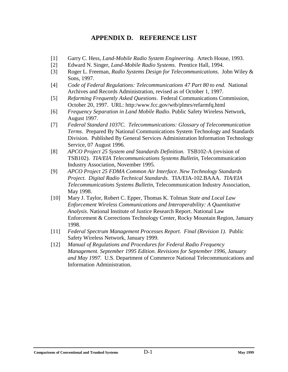## **APPENDIX D. REFERENCE LIST**

- <span id="page-56-0"></span>[1] Garry C. Hess, *Land-Mobile Radio System Engineering*. Artech House, 1993.
- [2] Edward N. Singer, *Land-Mobile Radio Systems*. Prentice Hall, 1994.
- [3] Roger L. Freeman, *Radio Systems Design for Telecommunications*. John Wiley & Sons, 1997.
- [4] *Code of Federal Regulations: Telecommunications 47 Part 80 to end*. National Archives and Records Administration, revised as of October 1, 1997.
- [5] *Refarming Frequently Asked Questions*. Federal Communications Commission, October 20, 1997. URL: http:/www.fcc.gov/wtb/plmrs/refarmfq.html
- [6] *Frequency Separation in Land Mobile Radio*. Public Safety Wireless Network, August 1997.
- [7] *Federal Standard 1037C. Telecommunications: Glossary of Telecommunication Terms*. Prepared By National Communications System Technology and Standards Division. Published By General Services Administration Information Technology Service, 07 August 1996.
- [8] *APCO Project 25 System and Standards Definition*. TSB102-A (revision of TSB102). *TIA/EIA Telecommunications Systems Bulletin*, Telecommunication Industry Association, November 1995.
- [9] *APCO Project 25 FDMA Common Air Interface*. *New Technology Standards Project. Digital Radio Technical Standards.* TIA/EIA-102.BAAA. *TIA/EIA Telecommunications Systems Bulletin*, Telecommunication Industry Association, May 1998.
- [10] Mary J. Taylor, Robert C. Epper, Thomas K. Tolman *State and Local Law Enforcement Wireless Communications and Interoperability: A Quantitative Analysis*. National Institute of Justice Research Report. National Law Enforcement & Corrections Technology Center, Rocky Mountain Region, January 1998.
- [11] *Federal Spectrum Management Processes Report. Final (Revision 1).* Public Safety Wireless Network, January 1999.
- [12] *Manual of Regulations and Procedures for Federal Radio Frequency Management. September 1995 Edition. Revisions for September 1996, January and May 1997.* U.S. Department of Commerce National Telecommunications and Information Administration.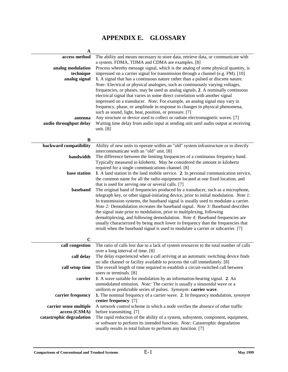# **APPENDIX E. GLOSSARY**

<span id="page-57-0"></span>

| $\mathbf A$              |                                                                                        |
|--------------------------|----------------------------------------------------------------------------------------|
| access method            | The ability and means necessary to store data, retrieve data, or communicate with      |
|                          | a system. FDMA, TDMA and CDMA are examples. [8]                                        |
| analog modulation        | Process whereby message signal, which is the analog of some physical quantity, is      |
| technique                | impressed on a carrier signal for transmission through a channel (e.g. FM). [10]       |
| analog signal            | 1. A signal that has a continuous nature rather than a pulsed or discrete nature.      |
|                          | Note: Electrical or physical analogies, such as continuously varying voltages,         |
|                          | frequencies, or phases, may be used as analog signals. 2. A nominally continuous       |
|                          | electrical signal that varies in some direct correlation with another signal           |
|                          | impressed on a transducer. Note: For example, an analog signal may vary in             |
|                          | frequency, phase, or amplitude in response to changes in physical phenomena,           |
|                          | such as sound, light, heat, position, or pressure. [7]                                 |
| antenna                  | Any structure or device used to collect or radiate electromagnetic waves. [7]          |
| audio throughput delay   | Waiting time delay from audio input at sending unit until audio output at receiving    |
|                          | unit. [8]                                                                              |
|                          |                                                                                        |
| B                        |                                                                                        |
| backward compatibility   | Ability of new units to operate within an "old" system infrastructure or to directly   |
|                          | intercommunicate with an "old" unit. [8]                                               |
| bandwidth                | The difference between the limiting frequencies of a continuous frequency band.        |
|                          | Typically measured in kilohertz. May be considered the amount in kilohertz             |
|                          | required for a single communications channel. [8]                                      |
| base station             | 1. A land station in the land mobile service. 2. In personal communication service,    |
|                          | the common name for all the radio equipment located at one fixed location, and         |
|                          | that is used for serving one or several calls. [7]                                     |
| baseband                 | The original band of frequencies produced by a transducer, such as a microphone,       |
|                          | telegraph key, or other signal-initiating device, prior to initial modulation. Note 1: |
|                          | In transmission systems, the baseband signal is usually used to modulate a carrier.    |
|                          | Note 2: Demodulation recreates the baseband signal. Note 3: Baseband describes         |
|                          | the signal state prior to modulation, prior to multiplexing, following                 |
|                          | demultiplexing, and following demodulation. Note 4: Baseband frequencies are           |
|                          | usually characterized by being much lower in frequency than the frequencies that       |
|                          | result when the baseband signal is used to modulate a carrier or subcarrier. [7]       |
|                          |                                                                                        |
| $\mathbf C$              |                                                                                        |
| call congestion          | The ratio of calls lost due to a lack of system resources to the total number of calls |
|                          | over a long interval of time. [8]                                                      |
| call delay               | The delay experienced when a call arriving at an automatic switching device finds      |
|                          | no idle channel or facility available to process the call immediately. [8]             |
| call setup time          | The overall length of time required to establish a circuit-switched call between       |
|                          | users or terminals. [8]                                                                |
| carrier                  | 1. A wave suitable for modulation by an information-bearing signal. 2. An              |
|                          | unmodulated emission. Note: The carrier is usually a sinusoidal wave or a              |
|                          | uniform or predictable series of pulses. Synonym: carrier wave.                        |
| carrier frequency        | 1. The nominal frequency of a carrier wave. 2. In frequency modulation, synonym        |
|                          | center frequency. [7]                                                                  |
| carrier sense multiple   | A network control scheme in which a node verifies the absence of other traffic         |
| access (CSMA)            | before transmitting. [7]                                                               |
| catastrophic degradation | The rapid reduction of the ability of a system, subsystem, component, equipment,       |
|                          | or software to perform its intended function. Note: Catastrophic degradation           |
|                          | usually results in total failure to perform any function. [7]                          |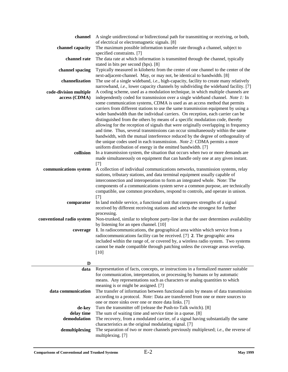| channel                                 | A single unidirectional or bidirectional path for transmitting or receiving, or both,<br>of electrical or electromagnetic signals. [8]                                                                                                                                                                                                                                                                                                                                                                                                                                                                                                                                                  |
|-----------------------------------------|-----------------------------------------------------------------------------------------------------------------------------------------------------------------------------------------------------------------------------------------------------------------------------------------------------------------------------------------------------------------------------------------------------------------------------------------------------------------------------------------------------------------------------------------------------------------------------------------------------------------------------------------------------------------------------------------|
| channel capacity                        | The maximum possible information transfer rate through a channel, subject to                                                                                                                                                                                                                                                                                                                                                                                                                                                                                                                                                                                                            |
| channel rate                            | specified constraints. [7]<br>The data rate at which information is transmitted through the channel, typically<br>stated in bits per second (bps). [8]                                                                                                                                                                                                                                                                                                                                                                                                                                                                                                                                  |
| channel spacing                         | Typically measured in kilohertz from the center of one channel to the center of the                                                                                                                                                                                                                                                                                                                                                                                                                                                                                                                                                                                                     |
| channelization                          | next-adjacent-channel. May, or may not, be identical to bandwidth. [8]<br>The use of a single wideband, i.e., high-capacity, facility to create many relatively                                                                                                                                                                                                                                                                                                                                                                                                                                                                                                                         |
| code-division multiple<br>access (CDMA) | narrowband, i.e., lower capacity channels by subdividing the wideband facility. [7]<br>A coding scheme, used as a modulation technique, in which multiple channels are<br>independently coded for transmission over a single wideband channel. Note 1: In<br>some communication systems, CDMA is used as an access method that permits<br>carriers from different stations to use the same transmission equipment by using a<br>wider bandwidth than the individual carriers. On reception, each carrier can be<br>distinguished from the others by means of a specific modulation code, thereby<br>allowing for the reception of signals that were originally overlapping in frequency |
|                                         | and time. Thus, several transmissions can occur simultaneously within the same<br>bandwidth, with the mutual interference reduced by the degree of orthogonality of<br>the unique codes used in each transmission. Note 2: CDMA permits a more<br>uniform distribution of energy in the emitted bandwidth. [7]                                                                                                                                                                                                                                                                                                                                                                          |
| collision                               | In a transmission system, the situation that occurs when two or more demands are<br>made simultaneously on equipment that can handle only one at any given instant.<br>$[7]$                                                                                                                                                                                                                                                                                                                                                                                                                                                                                                            |
| communications system                   | A collection of individual communications networks, transmission systems, relay<br>stations, tributary stations, and data terminal equipment usually capable of<br>interconnection and interoperation to form an integrated whole. Note: The                                                                                                                                                                                                                                                                                                                                                                                                                                            |
|                                         | components of a communications system serve a common purpose, are technically<br>compatible, use common procedures, respond to controls, and operate in unison.<br>$[7]$                                                                                                                                                                                                                                                                                                                                                                                                                                                                                                                |
| comparator                              | In land mobile service, a functional unit that compares strengths of a signal<br>received by different receiving stations and selects the strongest for further                                                                                                                                                                                                                                                                                                                                                                                                                                                                                                                         |
| conventional radio system               | processing.<br>Non-trunked, similar to telephone party-line in that the user determines availability<br>by listening for an open channel. [10]                                                                                                                                                                                                                                                                                                                                                                                                                                                                                                                                          |
| coverage                                | 1. In radiocommunications, the geographical area within which service from a<br>radiocommunications facility can be received. [7] 2. The geographic area<br>included within the range of, or covered by, a wireless radio system. Two systems<br>cannot be made compatible through patching unless the coverage areas overlap.<br>$[10]$                                                                                                                                                                                                                                                                                                                                                |
| D                                       |                                                                                                                                                                                                                                                                                                                                                                                                                                                                                                                                                                                                                                                                                         |
| data                                    | Representation of facts, concepts, or instructions in a formalized manner suitable<br>for communication, interpretation, or processing by humans or by automatic<br>means. Any representations such as characters or analog quantities to which                                                                                                                                                                                                                                                                                                                                                                                                                                         |
| data communication                      | meaning is or might be assigned. [7]<br>The transfer of information between functional units by means of data transmission<br>according to a protocol. Note: Data are transferred from one or more sources to<br>one or more sinks over one or more data links. [7]                                                                                                                                                                                                                                                                                                                                                                                                                     |
| de-key<br>delay time                    | Turn the transmitter off (release the Push-to-Talk switch). [8]<br>The sum of waiting time and service time in a queue. [8]                                                                                                                                                                                                                                                                                                                                                                                                                                                                                                                                                             |
| demodulation                            | The recovery, from a modulated carrier, of a signal having substantially the same                                                                                                                                                                                                                                                                                                                                                                                                                                                                                                                                                                                                       |
| demultiplexing                          | characteristics as the original modulating signal. [7]<br>The separation of two or more channels previously multiplexed; i.e., the reverse of<br>multiplexing. [7]                                                                                                                                                                                                                                                                                                                                                                                                                                                                                                                      |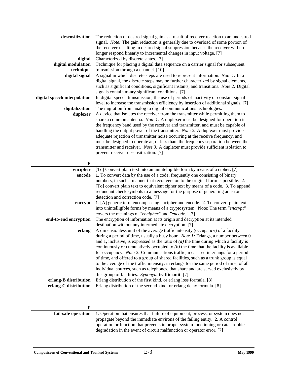| desensitization<br>digital<br>digital modulation<br>technique<br>digital signal<br>digital speech interpolation<br>digitalization<br>duplexer | The reduction of desired signal gain as a result of receiver reaction to an undesired<br>signal. Note: The gain reduction is generally due to overload of some portion of<br>the receiver resulting in desired signal suppression because the receiver will no<br>longer respond linearly to incremental changes in input voltage. [7]<br>Characterized by discrete states. [7]<br>Technique for placing a digital data sequence on a carrier signal for subsequent<br>transmission through a channel. [10]<br>A signal in which discrete steps are used to represent information. Note 1: In a<br>digital signal, the discrete steps may be further characterized by signal elements,<br>such as significant conditions, significant instants, and transitions. Note 2: Digital<br>signals contain m-ary significant conditions. [7]<br>In digital speech transmission, the use of periods of inactivity or constant signal<br>level to increase the transmission efficiency by insertion of additional signals. [7]<br>The migration from analog to digital communications technologies.<br>A device that isolates the receiver from the transmitter while permitting them to<br>share a common antenna. Note 1: A duplexer must be designed for operation in<br>the frequency band used by the receiver and transmitter, and must be capable of<br>handling the output power of the transmitter. Note 2: A duplexer must provide<br>adequate rejection of transmitter noise occurring at the receive frequency, and<br>must be designed to operate at, or less than, the frequency separation between the<br>transmitter and receiver. <i>Note 3</i> : A duplexer must provide sufficient isolation to<br>prevent receiver desensitization. [7] |
|-----------------------------------------------------------------------------------------------------------------------------------------------|----------------------------------------------------------------------------------------------------------------------------------------------------------------------------------------------------------------------------------------------------------------------------------------------------------------------------------------------------------------------------------------------------------------------------------------------------------------------------------------------------------------------------------------------------------------------------------------------------------------------------------------------------------------------------------------------------------------------------------------------------------------------------------------------------------------------------------------------------------------------------------------------------------------------------------------------------------------------------------------------------------------------------------------------------------------------------------------------------------------------------------------------------------------------------------------------------------------------------------------------------------------------------------------------------------------------------------------------------------------------------------------------------------------------------------------------------------------------------------------------------------------------------------------------------------------------------------------------------------------------------------------------------------------------------------------------------------------------------------------------------|
| ${\bf E}$                                                                                                                                     |                                                                                                                                                                                                                                                                                                                                                                                                                                                                                                                                                                                                                                                                                                                                                                                                                                                                                                                                                                                                                                                                                                                                                                                                                                                                                                                                                                                                                                                                                                                                                                                                                                                                                                                                                    |
| encipher<br>encode<br>encrypt<br>end-to-end encryption                                                                                        | [To] Convert plain text into an unintelligible form by means of a cipher. [7]<br>1. To convert data by the use of a code, frequently one consisting of binary<br>numbers, in such a manner that reconversion to the original form is possible. 2.<br>[To] convert plain text to equivalent cipher text by means of a code. 3. To append<br>redundant check symbols to a message for the purpose of generating an error<br>detection and correction code. [7]<br>1. [A] generic term encompassing encipher and encode. 2. To convert plain text<br>into unintelligible forms by means of a cryptosystem. Note: The term "encrypt"<br>covers the meanings of "encipher" and "encode." [7]<br>The encryption of information at its origin and decryption at its intended                                                                                                                                                                                                                                                                                                                                                                                                                                                                                                                                                                                                                                                                                                                                                                                                                                                                                                                                                                              |
| erlang<br>erlang-B distribution<br>erlang-C distribution                                                                                      | destination without any intermediate decryption. [7]<br>A dimensionless unit of the average traffic intensity (occupancy) of a facility<br>during a period of time, usually a busy hour. Note 1: Erlangs, a number between 0<br>and 1, inclusive, is expressed as the ratio of $(a)$ the time during which a facility is<br>continuously or cumulatively occupied to $(b)$ the time that the facility is available<br>for occupancy. Note 2: Communications traffic, measured in erlangs for a period<br>of time, and offered to a group of shared facilities, such as a trunk group is equal<br>to the average of the traffic intensity, in erlangs for the same period of time, of all<br>individual sources, such as telephones, that share and are served exclusively by<br>this group of facilities. Synonym traffic unit. [7]<br>Erlang distribution of the first kind, or erlang loss formula. [8]<br>Erlang distribution of the second kind, or erlang delay formula. [8]                                                                                                                                                                                                                                                                                                                                                                                                                                                                                                                                                                                                                                                                                                                                                                  |

| <b>fail-safe operation</b> 1. Operation that ensures that failure of equipment, process, or system does not |
|-------------------------------------------------------------------------------------------------------------|
| propagate beyond the immediate environs of the failing entity. 2. A control                                 |
| operation or function that prevents improper system functioning or catastrophic                             |
| degradation in the event of circuit malfunction or operator error. [7]                                      |

 $\overline{\phantom{0}}$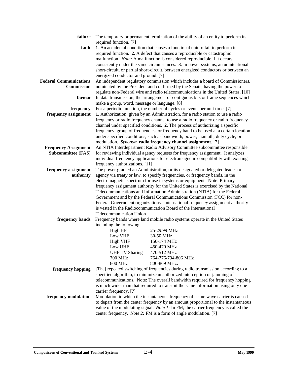| failure                       |                                                                                                                                                                          | The temporary or permanent termination of the ability of an entity to perform its                                                            |  |  |
|-------------------------------|--------------------------------------------------------------------------------------------------------------------------------------------------------------------------|----------------------------------------------------------------------------------------------------------------------------------------------|--|--|
| fault                         | required function. [7]                                                                                                                                                   | 1. An accidental condition that causes a functional unit to fail to perform its                                                              |  |  |
|                               |                                                                                                                                                                          | required function. 2. A defect that causes a reproducible or catastrophic                                                                    |  |  |
|                               |                                                                                                                                                                          | malfunction. Note: A malfunction is considered reproducible if it occurs                                                                     |  |  |
|                               |                                                                                                                                                                          | consistently under the same circumstances. 3. In power systems, an unintentional                                                             |  |  |
|                               | energized conductor and ground. [7]                                                                                                                                      | short-circuit, or partial short-circuit, between energized conductors or between an                                                          |  |  |
| <b>Federal Communications</b> |                                                                                                                                                                          | An independent regulatory commission which includes a board of Commissioners,                                                                |  |  |
| Commission                    |                                                                                                                                                                          | nominated by the President and confirmed by the Senate, having the power to                                                                  |  |  |
|                               |                                                                                                                                                                          | regulate non-Federal wire and radio telecommunications in the United States. [10]                                                            |  |  |
| format                        |                                                                                                                                                                          | In data transmission, the arrangement of contiguous bits or frame sequences which                                                            |  |  |
| frequency                     | make a group, word, message or language. [8]                                                                                                                             | For a periodic function, the number of cycles or events per unit time. [7]                                                                   |  |  |
| frequency assignment          |                                                                                                                                                                          | 1. Authorization, given by an Administration, for a radio station to use a radio                                                             |  |  |
|                               |                                                                                                                                                                          | frequency or radio frequency channel to use a radio frequency or radio frequency                                                             |  |  |
|                               |                                                                                                                                                                          | channel under specified conditions. 2. The process of authorizing a specific                                                                 |  |  |
|                               |                                                                                                                                                                          | frequency, group of frequencies, or frequency band to be used at a certain location                                                          |  |  |
|                               |                                                                                                                                                                          | under specified conditions, such as bandwidth, power, azimuth, duty cycle, or<br>modulation. Synonym radio frequency channel assignment. [7] |  |  |
| <b>Frequency Assignment</b>   |                                                                                                                                                                          | An NTIA Interdepartment Radio Advisory Committee subcommittee responsible                                                                    |  |  |
| <b>Subcommittee (FAS)</b>     |                                                                                                                                                                          | for reviewing individual agency requests for frequency assignment. It analyzes                                                               |  |  |
|                               |                                                                                                                                                                          | individual frequency applications for electromagnetic compatibility with existing                                                            |  |  |
|                               | frequency authorizations. [11]                                                                                                                                           |                                                                                                                                              |  |  |
| frequency assignment          | The power granted an Administration, or its designated or delegated leader or<br>agency via treaty or law, to specify frequencies, or frequency bands, in the            |                                                                                                                                              |  |  |
| authority                     |                                                                                                                                                                          | electromagnetic spectrum for use in systems or equipment. Note: Primary                                                                      |  |  |
|                               |                                                                                                                                                                          | frequency assignment authority for the United States is exercised by the National                                                            |  |  |
|                               |                                                                                                                                                                          | Telecommunications and Information Administration (NTIA) for the Federal                                                                     |  |  |
|                               |                                                                                                                                                                          | Government and by the Federal Communications Commission (FCC) for non-                                                                       |  |  |
|                               |                                                                                                                                                                          | Federal Government organizations. International frequency assignment authority                                                               |  |  |
|                               | is vested in the Radiocommunication Board of the International<br>Telecommunication Union.                                                                               |                                                                                                                                              |  |  |
|                               |                                                                                                                                                                          |                                                                                                                                              |  |  |
| frequency bands               | including the following:                                                                                                                                                 | Frequency bands where land mobile radio systems operate in the United States                                                                 |  |  |
|                               | High HF                                                                                                                                                                  | 25-29.99 MHz                                                                                                                                 |  |  |
|                               | Low VHF                                                                                                                                                                  | 30-50 MHz                                                                                                                                    |  |  |
|                               | <b>High VHF</b>                                                                                                                                                          | 150-174 MHz                                                                                                                                  |  |  |
|                               | Low UHF                                                                                                                                                                  | 450-470 MHz                                                                                                                                  |  |  |
|                               | <b>UHF TV Sharing</b>                                                                                                                                                    | 470-512 MHz                                                                                                                                  |  |  |
|                               | 700 MHz<br><b>800 MHz</b>                                                                                                                                                | 764-776/794-806 MHz<br>806-869 MHz.                                                                                                          |  |  |
| frequency hopping             |                                                                                                                                                                          | [The] repeated switching of frequencies during radio transmission according to a                                                             |  |  |
|                               |                                                                                                                                                                          | specified algorithm, to minimize unauthorized interception or jamming of                                                                     |  |  |
|                               |                                                                                                                                                                          | telecommunications. Note: The overall bandwidth required for frequency hopping                                                               |  |  |
|                               |                                                                                                                                                                          | is much wider than that required to transmit the same information using only one                                                             |  |  |
|                               | carrier frequency. [7]                                                                                                                                                   |                                                                                                                                              |  |  |
| frequency modulation          |                                                                                                                                                                          | Modulation in which the instantaneous frequency of a sine wave carrier is caused                                                             |  |  |
|                               | to depart from the center frequency by an amount proportional to the instantaneous<br>value of the modulating signal. Note 1: In FM, the carrier frequency is called the |                                                                                                                                              |  |  |
|                               |                                                                                                                                                                          | center frequency. Note 2: FM is a form of angle modulation. [7]                                                                              |  |  |
|                               |                                                                                                                                                                          |                                                                                                                                              |  |  |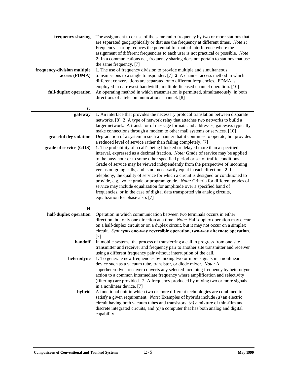| frequency sharing<br>frequency-division multiple<br>access (FDMA)<br>full-duplex operation | The assignment to or use of the same radio frequency by two or more stations that<br>are separated geographically or that use the frequency at different times. Note 1:<br>Frequency sharing reduces the potential for mutual interference where the<br>assignment of different frequencies to each user is not practical or possible. Note<br>2. In a communications net, frequency sharing does not pertain to stations that use<br>the same frequency. [7]<br>1. The use of frequency division to provide multiple and simultaneous<br>transmissions to a single transponder. [7] 2. A channel access method in which<br>different conversations are separated onto different frequencies. FDMA is<br>employed in narrowest bandwidth, multiple-licensed channel operation. [10]<br>An operating method in which transmission is permitted, simultaneously, in both<br>directions of a telecommunications channel. [8] |
|--------------------------------------------------------------------------------------------|---------------------------------------------------------------------------------------------------------------------------------------------------------------------------------------------------------------------------------------------------------------------------------------------------------------------------------------------------------------------------------------------------------------------------------------------------------------------------------------------------------------------------------------------------------------------------------------------------------------------------------------------------------------------------------------------------------------------------------------------------------------------------------------------------------------------------------------------------------------------------------------------------------------------------|
| $\mathbf G$                                                                                |                                                                                                                                                                                                                                                                                                                                                                                                                                                                                                                                                                                                                                                                                                                                                                                                                                                                                                                           |
| gateway<br>graceful degradation                                                            | 1. An interface that provides the necessary protocol translation between disparate<br>networks. [8] 2. A type of network relay that attaches two networks to build a<br>larger network. A translator of message formats and addresses, gateways typically<br>make connections through a modem to other mail systems or services. [10]<br>Degradation of a system in such a manner that it continues to operate, but provides                                                                                                                                                                                                                                                                                                                                                                                                                                                                                              |
|                                                                                            | a reduced level of service rather than failing completely. [7]                                                                                                                                                                                                                                                                                                                                                                                                                                                                                                                                                                                                                                                                                                                                                                                                                                                            |
| grade of service (GOS)<br>$\bf H$                                                          | 1. The probability of a call's being blocked or delayed more than a specified<br>interval, expressed as a decimal fraction. Note: Grade of service may be applied<br>to the busy hour or to some other specified period or set of traffic conditions.<br>Grade of service may be viewed independently from the perspective of incoming<br>versus outgoing calls, and is not necessarily equal in each direction. 2. In<br>telephony, the quality of service for which a circuit is designed or conditioned to<br>provide, e.g., voice grade or program grade. Note: Criteria for different grades of<br>service may include equalization for amplitude over a specified band of<br>frequencies, or in the case of digital data transported via analog circuits,<br>equalization for phase also. [7]                                                                                                                       |
| half-duplex operation                                                                      | Operation in which communication between two terminals occurs in either                                                                                                                                                                                                                                                                                                                                                                                                                                                                                                                                                                                                                                                                                                                                                                                                                                                   |
|                                                                                            | direction, but only one direction at a time. Note: Half-duplex operation may occur<br>on a half-duplex circuit or on a duplex circuit, but it may not occur on a simplex<br>circuit. Synonyms one-way reversible operation, two-way alternate operation.<br>$[7]$                                                                                                                                                                                                                                                                                                                                                                                                                                                                                                                                                                                                                                                         |
| handoff                                                                                    | In mobile systems, the process of transferring a call in progress from one site<br>transmitter and receiver and frequency pair to another site transmitter and receiver<br>using a different frequency pair without interruption of the call.                                                                                                                                                                                                                                                                                                                                                                                                                                                                                                                                                                                                                                                                             |
| heterodyne                                                                                 | 1. To generate new frequencies by mixing two or more signals in a nonlinear                                                                                                                                                                                                                                                                                                                                                                                                                                                                                                                                                                                                                                                                                                                                                                                                                                               |
|                                                                                            | device such as a vacuum tube, transistor, or diode mixer. Note: A<br>superheterodyne receiver converts any selected incoming frequency by heterodyne<br>action to a common intermediate frequency where amplification and selectivity<br>(filtering) are provided. 2. A frequency produced by mixing two or more signals<br>in a nonlinear device. [7]                                                                                                                                                                                                                                                                                                                                                                                                                                                                                                                                                                    |
| hybrid                                                                                     | A functional unit in which two or more different technologies are combined to<br>satisfy a given requirement. <i>Note:</i> Examples of hybrids include $(a)$ an electric<br>circuit having both vacuum tubes and transistors, $(b)$ a mixture of thin-film and<br>discrete integrated circuits, and $(c)$ a computer that has both analog and digital<br>capability.                                                                                                                                                                                                                                                                                                                                                                                                                                                                                                                                                      |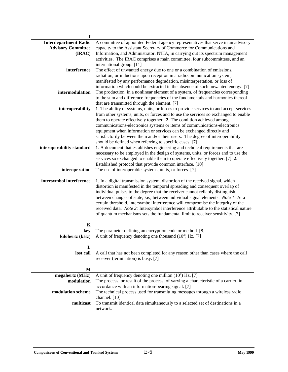| $\mathbf I$                  |                                                                                        |
|------------------------------|----------------------------------------------------------------------------------------|
| <b>Interdepartment Radio</b> | A committee of appointed Federal agency representatives that serve in an advisory      |
| <b>Advisory Committee</b>    | capacity to the Assistant Secretary of Commerce for Communications and                 |
| (IRAC)                       | Information, and Administrator, NTIA, in carrying out its spectrum management          |
|                              | activities. The IRAC comprises a main committee, four subcommittees, and an            |
|                              | international group. [11]                                                              |
| interference                 | The effect of unwanted energy due to one or a combination of emissions,                |
|                              | radiation, or inductions upon reception in a radiocommunication system,                |
|                              | manifested by any performance degradation, misinterpretation, or loss of               |
|                              | information which could be extracted in the absence of such unwanted energy. [7]       |
| intermodulation              | The production, in a nonlinear element of a system, of frequencies corresponding       |
|                              | to the sum and difference frequencies of the fundamentals and harmonics thereof        |
|                              | that are transmitted through the element. [7]                                          |
| interoperability             | 1. The ability of systems, units, or forces to provide services to and accept services |
|                              |                                                                                        |
|                              | from other systems, units, or forces and to use the services so exchanged to enable    |
|                              | them to operate effectively together. 2. The condition achieved among                  |
|                              | communications-electronics systems or items of communications-electronics              |
|                              | equipment when information or services can be exchanged directly and                   |
|                              | satisfactorily between them and/or their users. The degree of interoperability         |
|                              | should be defined when referring to specific cases. [7]                                |
| interoperability standard    | 1. A document that establishes engineering and technical requirements that are         |
|                              | necessary to be employed in the design of systems, units, or forces and to use the     |
|                              | services so exchanged to enable them to operate effectively together. [7] 2.           |
|                              | Established protocol that provide common interface. [10]                               |
| interoperation               | The use of interoperable systems, units, or forces. [7]                                |
| intersymbol interference     | 1. In a digital transmission system, distortion of the received signal, which          |
|                              | distortion is manifested in the temporal spreading and consequent overlap of           |
|                              | individual pulses to the degree that the receiver cannot reliably distinguish          |
|                              | between changes of state, i.e., between individual signal elements. Note 1: At a       |
|                              | certain threshold, intersymbol interference will compromise the integrity of the       |
|                              | received data. Note 2: Intersymbol interference attributable to the statistical nature |
|                              | of quantum mechanisms sets the fundamental limit to receiver sensitivity. [7]          |
|                              |                                                                                        |
| K                            |                                                                                        |
| key                          | The parameter defining an encryption code or method. [8]                               |
| kilohertz (kHz)              | A unit of frequency denoting one thousand $(10^3)$ Hz. [7]                             |
|                              |                                                                                        |
| L                            |                                                                                        |
| lost call                    | A call that has not been completed for any reason other than cases where the call      |
|                              | receiver (termination) is busy. [7]                                                    |
|                              |                                                                                        |
| M                            |                                                                                        |
| megahertz (MHz)              | A unit of frequency denoting one million $(10^6)$ Hz. [7]                              |
| modulation                   | The process, or result of the process, of varying a characteristic of a carrier, in    |
|                              | accordance with an information-bearing signal. [7]                                     |
| modulation scheme            | The technical process used for transmitting messages through a wireless radio          |
|                              | channel. [10]                                                                          |
| multicast                    | To transmit identical data simultaneously to a selected set of destinations in a       |
|                              | network.                                                                               |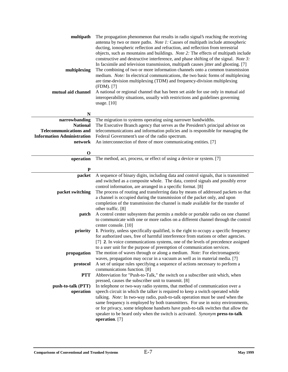| multipath<br>multiplexing<br>mutual aid channel | The propagation phenomenon that results in radio signal's reaching the receiving<br>antenna by two or more paths. Note 1: Causes of multipath include atmospheric<br>ducting, ionospheric reflection and refraction, and reflection from terrestrial<br>objects, such as mountains and buildings. Note 2: The effects of multipath include<br>constructive and destructive interference, and phase shifting of the signal. Note 3:<br>In facsimile and television transmission, multipath causes jitter and ghosting. [7]<br>The combining of two or more information channels onto a common transmission<br>medium. Note: In electrical communications, the two basic forms of multiplexing<br>are time-devision multiplexing (TDM) and frequency-division multiplexing<br>(FDM). [7]<br>A national or regional channel that has been set aside for use only in mutual aid<br>interoperability situations, usually with restrictions and guidelines governing<br>usage. [10] |
|-------------------------------------------------|-------------------------------------------------------------------------------------------------------------------------------------------------------------------------------------------------------------------------------------------------------------------------------------------------------------------------------------------------------------------------------------------------------------------------------------------------------------------------------------------------------------------------------------------------------------------------------------------------------------------------------------------------------------------------------------------------------------------------------------------------------------------------------------------------------------------------------------------------------------------------------------------------------------------------------------------------------------------------------|
| N                                               |                                                                                                                                                                                                                                                                                                                                                                                                                                                                                                                                                                                                                                                                                                                                                                                                                                                                                                                                                                               |
| narrowbanding<br><b>National</b>                | The migration to systems operating using narrower bandwidths.<br>The Executive Branch agency that serves as the President's principal advisor on                                                                                                                                                                                                                                                                                                                                                                                                                                                                                                                                                                                                                                                                                                                                                                                                                              |
| <b>Telecommunications and</b>                   | telecommunications and information policies and is responsible for managing the                                                                                                                                                                                                                                                                                                                                                                                                                                                                                                                                                                                                                                                                                                                                                                                                                                                                                               |
| <b>Information Administration</b>               | Federal Government's use of the radio spectrum.                                                                                                                                                                                                                                                                                                                                                                                                                                                                                                                                                                                                                                                                                                                                                                                                                                                                                                                               |
| network                                         | An interconnection of three of more communicating entities. [7]                                                                                                                                                                                                                                                                                                                                                                                                                                                                                                                                                                                                                                                                                                                                                                                                                                                                                                               |
|                                                 |                                                                                                                                                                                                                                                                                                                                                                                                                                                                                                                                                                                                                                                                                                                                                                                                                                                                                                                                                                               |
| $\mathbf 0$                                     |                                                                                                                                                                                                                                                                                                                                                                                                                                                                                                                                                                                                                                                                                                                                                                                                                                                                                                                                                                               |
| operation                                       | The method, act, process, or effect of using a device or system. [7]                                                                                                                                                                                                                                                                                                                                                                                                                                                                                                                                                                                                                                                                                                                                                                                                                                                                                                          |
| $\mathbf P$                                     |                                                                                                                                                                                                                                                                                                                                                                                                                                                                                                                                                                                                                                                                                                                                                                                                                                                                                                                                                                               |
| packet                                          | A sequence of binary digits, including data and control signals, that is transmitted                                                                                                                                                                                                                                                                                                                                                                                                                                                                                                                                                                                                                                                                                                                                                                                                                                                                                          |
| packet switching                                | and switched as a composite whole. The data, control signals and possibly error<br>control information, are arranged in a specific format. [8]<br>The process of routing and transferring data by means of addressed packets so that<br>a channel is occupied during the transmission of the packet only, and upon<br>completion of the transmission the channel is made available for the transfer of<br>other traffic. [8]                                                                                                                                                                                                                                                                                                                                                                                                                                                                                                                                                  |
| patch                                           | A control center subsystem that permits a mobile or portable radio on one channel                                                                                                                                                                                                                                                                                                                                                                                                                                                                                                                                                                                                                                                                                                                                                                                                                                                                                             |
|                                                 | to communicate with one or more radios on a different channel through the control<br>center console. [10]                                                                                                                                                                                                                                                                                                                                                                                                                                                                                                                                                                                                                                                                                                                                                                                                                                                                     |
| priority                                        | 1. Priority, unless specifically qualified, is the right to occupy a specific frequency                                                                                                                                                                                                                                                                                                                                                                                                                                                                                                                                                                                                                                                                                                                                                                                                                                                                                       |
|                                                 | for authorized uses, free of harmful interference from stations or other agencies.                                                                                                                                                                                                                                                                                                                                                                                                                                                                                                                                                                                                                                                                                                                                                                                                                                                                                            |
|                                                 | [7] 2. In voice communications systems, one of the levels of precedence assigned                                                                                                                                                                                                                                                                                                                                                                                                                                                                                                                                                                                                                                                                                                                                                                                                                                                                                              |
|                                                 | to a user unit for the purpose of preemption of communication services.                                                                                                                                                                                                                                                                                                                                                                                                                                                                                                                                                                                                                                                                                                                                                                                                                                                                                                       |
| propagation                                     | The motion of waves through or along a medium. Note: For electromagnetic                                                                                                                                                                                                                                                                                                                                                                                                                                                                                                                                                                                                                                                                                                                                                                                                                                                                                                      |
|                                                 | waves, propagation may occur in a vacuum as well as in material media. [7]                                                                                                                                                                                                                                                                                                                                                                                                                                                                                                                                                                                                                                                                                                                                                                                                                                                                                                    |
| protocol                                        | A set of unique rules specifying a sequence of actions necessary to perform a                                                                                                                                                                                                                                                                                                                                                                                                                                                                                                                                                                                                                                                                                                                                                                                                                                                                                                 |
| <b>PTT</b>                                      | communications function. [8]<br>Abbreviation for "Push-to-Talk," the switch on a subscriber unit which, when                                                                                                                                                                                                                                                                                                                                                                                                                                                                                                                                                                                                                                                                                                                                                                                                                                                                  |
|                                                 | pressed, causes the subscriber unit to transmit. [8]                                                                                                                                                                                                                                                                                                                                                                                                                                                                                                                                                                                                                                                                                                                                                                                                                                                                                                                          |
| push-to-talk (PTT)                              | In telephone or two-way radio systems, that method of communication over a                                                                                                                                                                                                                                                                                                                                                                                                                                                                                                                                                                                                                                                                                                                                                                                                                                                                                                    |
| operation                                       | speech circuit in which the talker is required to keep a switch operated while                                                                                                                                                                                                                                                                                                                                                                                                                                                                                                                                                                                                                                                                                                                                                                                                                                                                                                |
|                                                 | talking. Note: In two-way radio, push-to-talk operation must be used when the                                                                                                                                                                                                                                                                                                                                                                                                                                                                                                                                                                                                                                                                                                                                                                                                                                                                                                 |
|                                                 | same frequency is employed by both transmitters. For use in noisy environments,                                                                                                                                                                                                                                                                                                                                                                                                                                                                                                                                                                                                                                                                                                                                                                                                                                                                                               |
|                                                 | or for privacy, some telephone handsets have push-to-talk switches that allow the                                                                                                                                                                                                                                                                                                                                                                                                                                                                                                                                                                                                                                                                                                                                                                                                                                                                                             |
|                                                 | speaker to be heard only when the switch is activated. Synonym press-to-talk<br>operation. [7]                                                                                                                                                                                                                                                                                                                                                                                                                                                                                                                                                                                                                                                                                                                                                                                                                                                                                |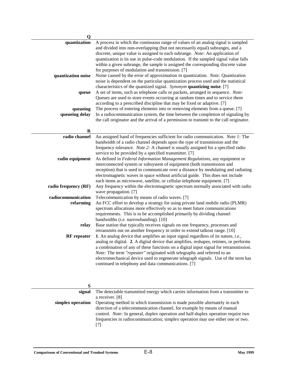| $\mathbf 0$          |                                                                                                                                           |
|----------------------|-------------------------------------------------------------------------------------------------------------------------------------------|
| quantization         | A process in which the continuous range of values of an analog signal is sampled                                                          |
|                      | and divided into non-overlapping (but not necessarily equal) subranges, and a                                                             |
|                      | discrete, unique value is assigned to each subrange. Note: An application of                                                              |
|                      | quantization is its use in pulse-code modulation. If the sampled signal value falls                                                       |
|                      | within a given subrange, the sample is assigned the corresponding discrete value                                                          |
|                      | for purposes of modulation and transmission. [7]                                                                                          |
| quantization noise   | Noise caused by the error of approximation in quantization. Note: Quantization                                                            |
|                      | noise is dependent on the particular quantization process used and the statistical                                                        |
|                      | characteristics of the quantized signal. Synonym quantizing noise. [7]                                                                    |
| queue                | A set of items, such as telephone calls or packets, arranged in sequence. Note:                                                           |
|                      | Queues are used to store events occurring at random times and to service them                                                             |
|                      | according to a prescribed discipline that may be fixed or adaptive. [7]                                                                   |
| queueing             | The process of entering elements into or removing elements from a queue. [7]                                                              |
| queueing delay       | In a radiocommunication system, the time between the completion of signaling by                                                           |
|                      | the call originator and the arrival of a permission to transmit to the call originator.                                                   |
| $\mathbf R$          |                                                                                                                                           |
| radio channel        | An assigned band of frequencies sufficient for radio communication. Note 1: The                                                           |
|                      | bandwidth of a radio channel depends upon the type of transmission and the                                                                |
|                      | frequency tolerance. Note 2: A channel is usually assigned for a specified radio                                                          |
|                      | service to be provided by a specified transmitter. [7]                                                                                    |
| radio equipment      | As defined in Federal Information Management Regulations, any equipment or                                                                |
|                      | interconnected system or subsystem of equipment (both transmission and                                                                    |
|                      | reception) that is used to communicate over a distance by modulating and radiating                                                        |
|                      | electromagnetic waves in space without artificial guide. This does not include                                                            |
|                      | such items as microwave, satellite, or cellular telephone equipment. [7]                                                                  |
| radio frequency (RF) | Any frequency within the electromagnetic spectrum normally associated with radio                                                          |
|                      | wave propagation. [7]                                                                                                                     |
| radiocommunication   | Telecommunication by means of radio waves. [7]                                                                                            |
| refarming            | An FCC effort to develop a strategy for using private land mobile radio (PLMR)                                                            |
|                      | spectrum allocations more effectively so as to meet future communications                                                                 |
|                      | requirements. This is to be accomplished primarily by dividing channel                                                                    |
|                      | bandwidths (i.e. narrowbanding). [10]                                                                                                     |
| relay                | Base station that typically receives signals on one frequency, processes and                                                              |
|                      | retransmits out on another frequency in order to extend talkout range. [10]                                                               |
| <b>RF</b> repeater   | 1. An analog device that amplifies an input signal regardless of its nature, <i>i.e.</i> ,                                                |
|                      | analog or digital. 2. A digital device that amplifies, reshapes, retimes, or performs                                                     |
|                      | a combination of any of these functions on a digital input signal for retransmission.                                                     |
|                      | Note: The term "repeater" originated with telegraphy and referred to an                                                                   |
|                      | electromechanical device used to regenerate telegraph signals. Use of the term has<br>continued in telephony and data communications. [7] |
|                      |                                                                                                                                           |

| signal            | The detectable transmitted energy which carries information from a transmitter to        |
|-------------------|------------------------------------------------------------------------------------------|
|                   | a receiver. [8]                                                                          |
| simplex operation | Operating method in which transmission is made possible alternately in each              |
|                   | direction of a telecommunication channel, for example by means of manual                 |
|                   | control. <i>Note:</i> In general, duplex operation and half-duplex operation require two |
|                   | frequencies in radiocommunication; simplex operation may use either one or two.          |
|                   | [7]                                                                                      |
|                   |                                                                                          |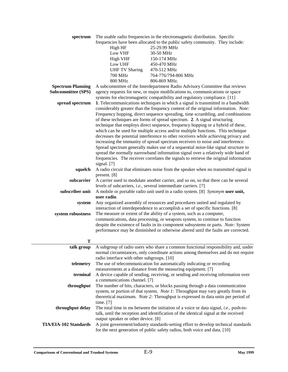| spectrum                  |                                            | The usable radio frequencies in the electromagnetic distribution. Specific                    |
|---------------------------|--------------------------------------------|-----------------------------------------------------------------------------------------------|
|                           |                                            | frequencies have been allocated to the public safety community. They include:                 |
|                           | High HF                                    | 25-29.99 MHz                                                                                  |
|                           | Low VHF                                    | 30-50 MHz                                                                                     |
|                           | <b>High VHF</b>                            | 150-174 MHz                                                                                   |
|                           | Low UHF                                    | 450-470 MHz                                                                                   |
|                           | <b>UHF TV Sharing</b>                      | 470-512 MHz                                                                                   |
|                           | <b>700 MHz</b>                             | 764-776/794-806 MHz                                                                           |
|                           | <b>800 MHz</b>                             | 806-869 MHz.                                                                                  |
| <b>Spectrum Planning</b>  |                                            | A subcommittee of the Interdepartment Radio Advisory Committee that reviews                   |
| <b>Subcommittee (SPS)</b> |                                            | agency requests for new, or major modifications to, communications or space                   |
|                           |                                            | systems for electromagnetic compatibility and regulatory compliance. [11]                     |
| spread spectrum           |                                            | 1. Telecommunications techniques in which a signal is transmitted in a bandwidth              |
|                           |                                            | considerably greater than the frequency content of the original information. Note:            |
|                           |                                            | Frequency hopping, direct sequence spreading, time scrambling, and combinations               |
|                           |                                            | of these techniques are forms of spread spectrum. 2. A signal structuring                     |
|                           |                                            | technique that employs direct sequence, frequency hopping or a hybrid of these,               |
|                           |                                            | which can be used for multiple access and/or multiple functions. This technique               |
|                           |                                            | decreases the potential interference to other receivers while achieving privacy and           |
|                           |                                            | increasing the immunity of spread spectrum receivers to noise and interference.               |
|                           |                                            |                                                                                               |
|                           |                                            | Spread spectrum generally makes use of a sequential noise-like signal structure to            |
|                           |                                            | spread the normally narrowband information signal over a relatively wide band of              |
|                           |                                            | frequencies. The receiver correlates the signals to retrieve the original information         |
|                           | signal. [7]                                |                                                                                               |
| squelch                   |                                            | A radio circuit that eliminates noise from the speaker when no transmitted signal is          |
|                           | present. [8]                               |                                                                                               |
| subcarrier                |                                            | A carrier used to modulate another carrier, and so on, so that there can be several           |
|                           |                                            | levels of subcarriers, i.e., several intermediate carriers. [7]                               |
| subscriber unit           |                                            | A mobile or portable radio unit used in a radio system. [8] Synonym user unit,                |
|                           | user radio.                                |                                                                                               |
| system                    |                                            | Any organized assembly of resources and procedures united and regulated by                    |
|                           |                                            | interaction of interdependence to accomplish a set of specific functions. [8]                 |
| system robustness         |                                            | The measure or extent of the ability of a system, such as a computer,                         |
|                           |                                            | communications, data processing, or weapons system, to continue to function                   |
|                           |                                            | despite the existence of faults in its component subsystems or parts. Note: System            |
|                           |                                            | performance may be diminished or otherwise altered until the faults are corrected.            |
|                           |                                            |                                                                                               |
| Т                         |                                            |                                                                                               |
| talk group                |                                            | A subgroup of radio users who share a common functional responsibility and, under             |
|                           |                                            | normal circumstances, only coordinate actions among themselves and do not require             |
|                           | radio interface with other subgroups. [10] |                                                                                               |
| telemetry                 |                                            | The use of telecommunication for automatically indicating or recording                        |
|                           |                                            | measurements at a distance from the measuring equipment. [7]                                  |
| terminal                  |                                            | A device capable of sending, receiving, or sending and receiving information over             |
|                           | a communications channel. [7]              |                                                                                               |
| throughput                |                                            | The number of bits, characters, or blocks passing through a data communication                |
|                           |                                            | system, or portion of that system. Note 1: Throughput may vary greatly from its               |
|                           |                                            | theoretical maximum. Note 2: Throughput is expressed in data units per period of              |
|                           | time. $[7]$                                |                                                                                               |
| throughput delay          |                                            | The total time in ms between the initiation of a voice or data signal, <i>i.e.</i> , push-to- |
|                           |                                            | talk, until the reception and identification of the identical signal at the received          |
|                           | output speaker or other device. [8]        |                                                                                               |
| TIA/EIA-102 Standards     |                                            | A joint government/industry standards-setting effort to develop technical standards           |
|                           |                                            | for the next generation of public safety radios, both voice and data. [10]                    |
|                           |                                            |                                                                                               |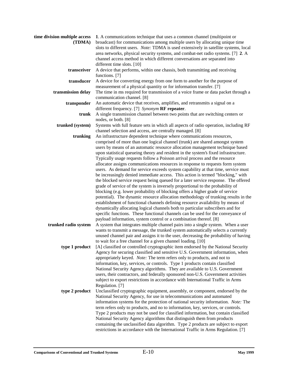| time division multiple access<br>(TDMA) | 1. A communications technique that uses a common channel (multipoint or<br>broadcast) for communications among multiple users by allocating unique time<br>slots to different users. Note: TDMA is used extensively in satellite systems, local<br>area networks, physical security systems, and combat-net radio systems. [7] 2. A                                                                                                                                                                                                                                                                                                                                         |
|-----------------------------------------|-----------------------------------------------------------------------------------------------------------------------------------------------------------------------------------------------------------------------------------------------------------------------------------------------------------------------------------------------------------------------------------------------------------------------------------------------------------------------------------------------------------------------------------------------------------------------------------------------------------------------------------------------------------------------------|
|                                         | channel access method in which different conversations are separated into<br>different time slots. [10]                                                                                                                                                                                                                                                                                                                                                                                                                                                                                                                                                                     |
| transceiver                             | A device that performs, within one chassis, both transmitting and receiving<br>functions. [7]                                                                                                                                                                                                                                                                                                                                                                                                                                                                                                                                                                               |
| transducer                              | A device for converting energy from one form to another for the purpose of<br>measurement of a physical quantity or for information transfer. [7]                                                                                                                                                                                                                                                                                                                                                                                                                                                                                                                           |
| transmission delay                      | The time in ms required for transmission of a voice frame or data packet through a<br>communication channel. [8]                                                                                                                                                                                                                                                                                                                                                                                                                                                                                                                                                            |
| transponder                             | An automatic device that receives, amplifies, and retransmits a signal on a<br>different frequency. [7] Synonym RF repeater.                                                                                                                                                                                                                                                                                                                                                                                                                                                                                                                                                |
| trunk                                   | A single transmission channel between two points that are switching centers or<br>nodes, or both. [8]                                                                                                                                                                                                                                                                                                                                                                                                                                                                                                                                                                       |
| trunked (system)                        | Systems with full feature sets in which all aspects of radio operation, including RF<br>channel selection and access, are centrally managed. [8]                                                                                                                                                                                                                                                                                                                                                                                                                                                                                                                            |
| trunking                                | An infrastructure dependent technique where communications resources,<br>comprised of more than one logical channel (trunk) are shared amongst system<br>users by means of an automatic resource allocation management technique based<br>upon statistical queueing theory and resident in the system's fixed infrastructure.<br>Typically usage requests follow a Poisson arrival process and the resource                                                                                                                                                                                                                                                                 |
|                                         | allocator assigns communications resources in response to requests form system<br>users. As demand for service exceeds system capability at that time, service must<br>be increasingly denied immediate access. This action is termed "blocking," with<br>the blocked service request being queued for a later service response. The offered<br>grade of service of the system is inversely proportional to the probability of                                                                                                                                                                                                                                              |
|                                         | blocking (e.g. lower probability of blocking offers a higher grade of service<br>potential). The dynamic resource allocation methodology of trunking results in the<br>establishment of functional channels defining resource availability by means of<br>dynamically allocating logical channels both to particular subscribers and for<br>specific functions. These functional channels can be used for the conveyance of<br>payload information, system control or a combination thereof. [8]                                                                                                                                                                            |
| trunked radio system                    | A system that integrates multiple channel pairs into a single system. When a user<br>wants to transmit a message, the trunked system automatically selects a currently<br>unused channel pair and assigns it to the user, decreasing the probability of having<br>to wait for a free channel for a given channel loading. [10]                                                                                                                                                                                                                                                                                                                                              |
| type 1 product                          | [A] classified or controlled cryptographic item endorsed by the National Security<br>Agency for securing classified and sensitive U.S. Government information, when<br>appropriately keyed. Note: The term refers only to products, and not to<br>information, key, services, or controls. Type 1 products contain classified<br>National Security Agency algorithms. They are available to U.S. Government<br>users, their contractors, and federally sponsored non-U.S. Government activities<br>subject to export restrictions in accordance with International Traffic in Arms<br>Regulation. [7]                                                                       |
| type 2 product                          | Unclassified cryptographic equipment, assembly, or component, endorsed by the<br>National Security Agency, for use in telecommunications and automated<br>information systems for the protection of national security information. Note: The<br>term refers only to products, and no to information, key, services, or controls.<br>Type 2 products may not be used for classified information, but contain classified<br>National Security Agency algorithms that distinguish them from products<br>containing the unclassified data algorithm. Type 2 products are subject to export<br>restrictions in accordance with the International Traffic in Arms Regulation. [7] |